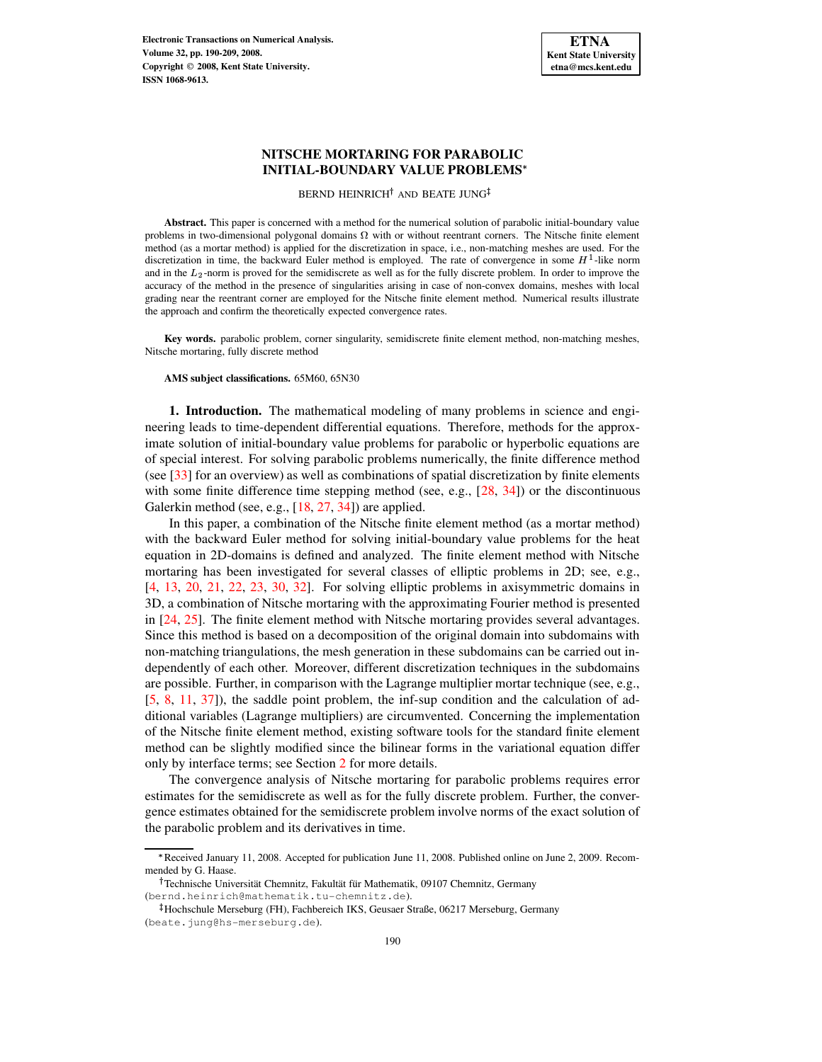**Electronic Transactions on Numerical Analysis. Volume 32, pp. 190-209, 2008. Copyright 2008, Kent State University. ISSN 1068-9613.**



# **NITSCHE MORTARING FOR PARABOLIC INITIAL-BOUNDARY VALUE PROBLEMS**

BERND HEINRICH<sup>†</sup> AND BEATE JUNG

**Abstract.** This paper is concerned with a method for the numerical solution of parabolic initial-boundary value problems in two-dimensional polygonal domains  $\Omega$  with or without reentrant corners. The Nitsche finite element method (as a mortar method) is applied for the discretization in space, i.e., non-matching meshes are used. For the discretization in time, the backward Euler method is employed. The rate of convergence in some  $H<sup>1</sup>$ -like norm and in the  $L_2$ -norm is proved for the semidiscrete as well as for the fully discrete problem. In order to improve the accuracy of the method in the presence of singularities arising in case of non-convex domains, meshes with local grading near the reentrant corner are employed for the Nitsche finite element method. Numerical results illustrate the approach and confirm the theoretically expected convergence rates.

**Key words.** parabolic problem, corner singularity, semidiscrete finite element method, non-matching meshes, Nitsche mortaring, fully discrete method

## **AMS subject classifications.** 65M60, 65N30

**1. Introduction.** The mathematical modeling of many problems in science and engineering leads to time-dependent differential equations. Therefore, methods for the approximate solution of initial-boundary value problems for parabolic or hyperbolic equations are of special interest. For solving parabolic problems numerically, the finite difference method (see [\[33\]](#page-19-0) for an overview) as well as combinations of spatial discretization by finite elements with some finite difference time stepping method (see, e.g.,  $[28, 34]$  $[28, 34]$  $[28, 34]$ ) or the discontinuous Galerkin method (see, e.g., [\[18,](#page-19-3) [27,](#page-19-4) [34\]](#page-19-2)) are applied.

In this paper, a combination of the Nitsche finite element method (as a mortar method) with the backward Euler method for solving initial-boundary value problems for the heat equation in 2D-domains is defined and analyzed. The finite element method with Nitsche mortaring has been investigated for several classes of elliptic problems in 2D; see, e.g., [\[4,](#page-18-0) [13,](#page-19-5) [20,](#page-19-6) [21,](#page-19-7) [22,](#page-19-8) [23,](#page-19-9) [30,](#page-19-10) [32\]](#page-19-11). For solving elliptic problems in axisymmetric domains in 3D, a combination of Nitsche mortaring with the approximating Fourier method is presented in [\[24,](#page-19-12) [25\]](#page-19-13). The finite element method with Nitsche mortaring provides several advantages. Since this method is based on a decomposition of the original domain into subdomains with non-matching triangulations, the mesh generation in these subdomains can be carried out independently of each other. Moreover, different discretization techniques in the subdomains are possible. Further, in comparison with the Lagrange multiplier mortar technique (see, e.g., [\[5,](#page-18-1) [8,](#page-19-14) [11,](#page-19-15) [37\]](#page-19-16)), the saddle point problem, the inf-sup condition and the calculation of additional variables (Lagrange multipliers) are circumvented. Concerning the implementation of the Nitsche finite element method, existing software tools for the standard finite element method can be slightly modified since the bilinear forms in the variational equation differ only by interface terms; see Section [2](#page-1-0) for more details.

The convergence analysis of Nitsche mortaring for parabolic problems requires error estimates for the semidiscrete as well as for the fully discrete problem. Further, the convergence estimates obtained for the semidiscrete problem involve norms of the exact solution of the parabolic problem and its derivatives in time.

Received January 11, 2008. Accepted for publication June 11, 2008. Published online on June 2, 2009. Recommended by G. Haase.

<sup>&</sup>lt;sup>†</sup> Technische Universität Chemnitz, Fakultät für Mathematik, 09107 Chemnitz, Germany (bernd.heinrich@mathematik.tu-chemnitz.de).

<sup>-</sup> Hochschule Merseburg (FH), Fachbereich IKS, Geusaer Straße, 06217 Merseburg, Germany (beate.jung@hs-merseburg.de).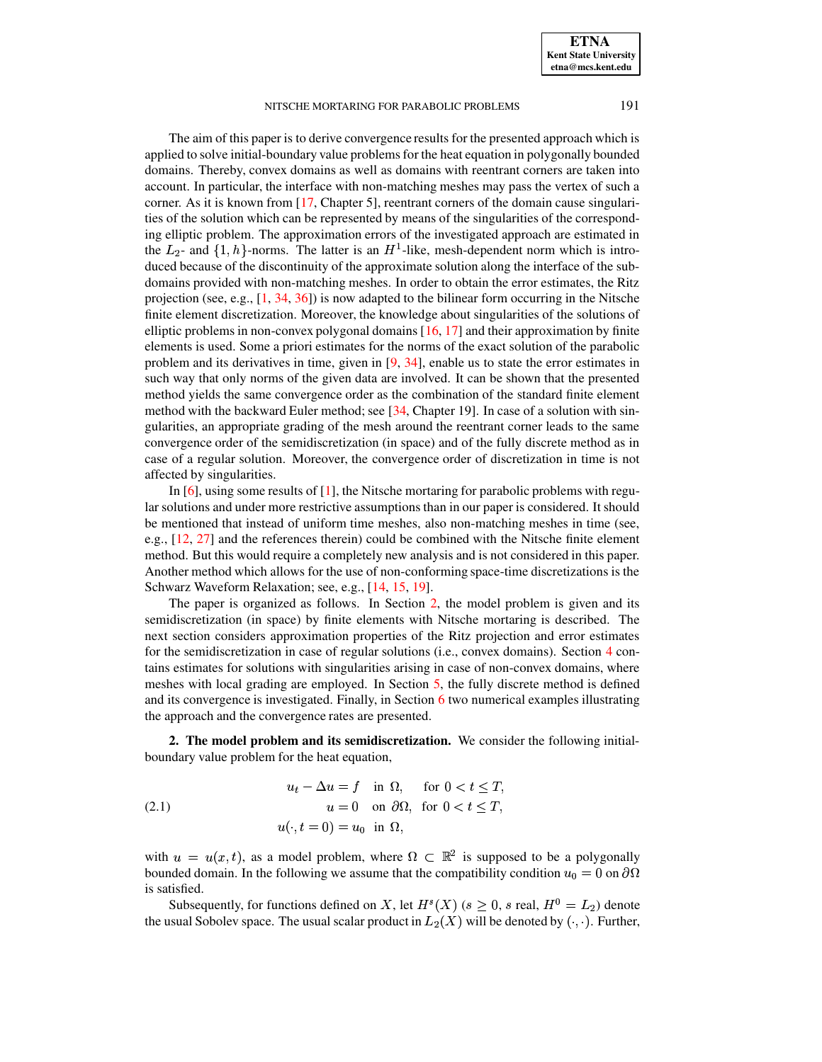The aim of this paper is to derive convergence results for the presented approach which is applied to solve initial-boundary value problemsfor the heat equation in polygonally bounded domains. Thereby, convex domains as well as domains with reentrant corners are taken into account. In particular, the interface with non-matching meshes may pass the vertex of such a corner. As it is known from [\[17,](#page-19-17) Chapter 5], reentrant corners of the domain cause singularities of the solution which can be represented by means of the singularities of the corresponding elliptic problem. The approximation errors of the investigated approach are estimated in the  $L_2$ - and  $\{1, h\}$ -norms. The latter is an  $H^1$ -like, mesh-dependent norm which is introduced because of the discontinuity of the approximate solution along the interface of the subdomains provided with non-matching meshes. In order to obtain the error estimates, the Ritz projection (see, e.g.,  $[1, 34, 36]$  $[1, 34, 36]$  $[1, 34, 36]$  $[1, 34, 36]$  $[1, 34, 36]$ ) is now adapted to the bilinear form occurring in the Nitsche finite element discretization. Moreover, the knowledge about singularities of the solutions of elliptic problems in non-convex polygonal domains [\[16,](#page-19-19) [17\]](#page-19-17) and their approximation by finite elements is used. Some a priori estimates for the norms of the exact solution of the parabolic problem and its derivatives in time, given in [\[9,](#page-19-20) [34\]](#page-19-2), enable us to state the error estimates in such way that only norms of the given data are involved. It can be shown that the presented method yields the same convergence order as the combination of the standard finite element method with the backward Euler method; see [\[34,](#page-19-2) Chapter 19]. In case of a solution with singularities, an appropriate grading of the mesh around the reentrant corner leads to the same convergence order of the semidiscretization (in space) and of the fully discrete method as in case of a regular solution. Moreover, the convergence order of discretization in time is not affected by singularities.

In  $[6]$ , using some results of  $[1]$ , the Nitsche mortaring for parabolic problems with regular solutions and under more restrictive assumptions than in our paper is considered. It should be mentioned that instead of uniform time meshes, also non-matching meshes in time (see, e.g., [\[12,](#page-19-21) [27\]](#page-19-4) and the references therein) could be combined with the Nitsche finite element method. But this would require a completely new analysis and is not considered in this paper. Another method which allows for the use of non-conforming space-time discretizations is the Schwarz Waveform Relaxation; see, e.g., [\[14,](#page-19-22) [15,](#page-19-23) [19\]](#page-19-24).

The paper is organized as follows. In Section [2,](#page-1-0) the model problem is given and its semidiscretization (in space) by finite elements with Nitsche mortaring is described. The next section considers approximation properties of the Ritz projection and error estimates for the semidiscretization in case of regular solutions (i.e., convex domains). Section [4](#page-9-0) contains estimates for solutions with singularities arising in case of non-convex domains, where meshes with local grading are employed. In Section [5,](#page-13-0) the fully discrete method is defined and its convergence is investigated. Finally, in Section [6](#page-15-0) two numerical examples illustrating the approach and the convergence rates are presented.

<span id="page-1-0"></span>**2. The model problem and its semidiscretization.** We consider the following initialboundary value problem for the heat equation,

<span id="page-1-1"></span>(2.1) 
$$
u_t - \Delta u = f \quad \text{in } \Omega, \quad \text{for } 0 < t \leq T,
$$

$$
u = 0 \quad \text{on } \partial \Omega, \text{ for } 0 < t \leq T,
$$

$$
u(\cdot, t = 0) = u_0 \quad \text{in } \Omega,
$$

with  $u = u(x, t)$ , as a model problem, where  $\Omega \subset \mathbb{R}^2$  is supposed to be a polygonally bounded domain. In the following we assume that the compatibility condition  $u_0 = 0$  on  $\partial\Omega$ is satisfied.

Subsequently, for functions defined on X, let  $H<sup>s</sup>(X)$  ( $s \ge 0$ , s real,  $H<sup>0</sup> = L<sub>2</sub>$ ) denote the usual Sobolev space. The usual scalar product in  $L_2(X)$  will be denoted by  $(\cdot, \cdot)$ . Further,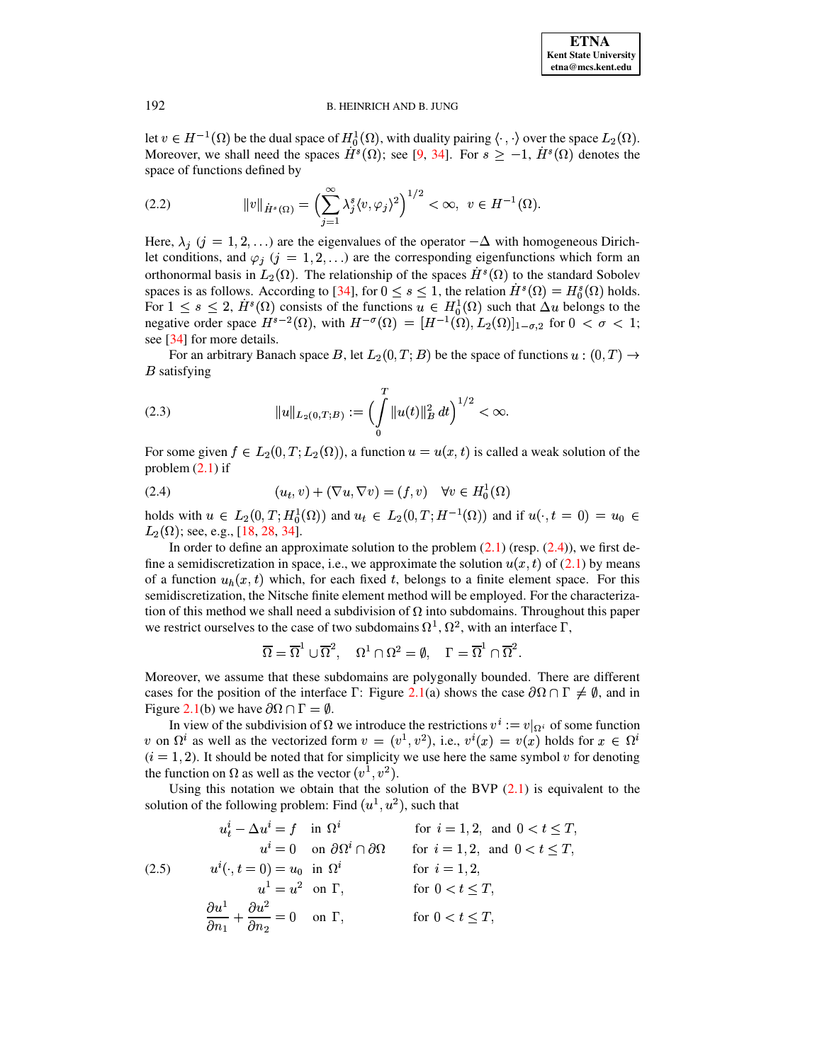let  $v \in H^{-1}(\Omega)$  be the dual space of  $H_0^1(\Omega)$ , with duality pairing  $\langle \cdot, \cdot \rangle$  over the space  $L_2(\Omega)$ . Moreover, we shall need the spaces  $H^s(\Omega)$ ; see [\[9,](#page-19-20) [34\]](#page-19-2). For  $s \ge -1$ ,  $H^s(\Omega)$  denotes the space of functions defined by

<span id="page-2-2"></span>(2.2) 
$$
||v||_{\dot{H}^s(\Omega)} = \left(\sum_{j=1}^{\infty} \lambda_j^s \langle v, \varphi_j \rangle^2\right)^{1/2} < \infty, \ v \in H^{-1}(\Omega).
$$

Here,  $\lambda_j$  ( $j = 1, 2, \ldots$ ) are the eigenvalues of the operator  $-\Delta$  with homogeneous Dirichlet conditions, and  $\varphi_j$  ( $j = 1, 2, \ldots$ ) are the corresponding eigenfunctions which form an orthonormal basis in  $L_2(\Omega)$ . The relationship of the spaces  $H<sup>s</sup>(\Omega)$  to the standard Sobolev spaces is as follows. According to [\[34\]](#page-19-2), for  $0 \leq s \leq 1$ , the relation  $H^s(\Omega) = H_0^s(\Omega)$  holds. For  $1 \leq s \leq 2$ ,  $H^s(\Omega)$  consists of the functions  $u \in H_0^1(\Omega)$  such that  $\Delta u$  belongs to the negative order space  $H^{s-2}(\Omega)$ , with  $H^{-\sigma}(\Omega) = [H^{-1}(\Omega), L_2(\Omega)]_{1-\sigma,2}$  for  $0 < \sigma < 1$ ; see [\[34\]](#page-19-2) for more details.

For an arbitrary Banach space B, let  $L_2(0,T;B)$  be the space of functions  $u:(0,T) \rightarrow$  $B$  satisfying

(2.3) 
$$
||u||_{L_2(0,T;B)} := \left(\int\limits_0^T ||u(t)||_B^2 dt\right)^{1/2} < \infty.
$$

<span id="page-2-0"></span>For some given  $f \in L_2(0,T;L_2(\Omega))$ , a function  $u = u(x,t)$  is called a weak solution of the problem  $(2.1)$  if

$$
(2.4) \qquad (u_t, v) + (\nabla u, \nabla v) = (f, v) \quad \forall v \in H_0^1(\Omega)
$$

holds with  $u \in L_2(0,T; H_0^1(\Omega))$  and  $u_t \in L_2(0,T; H^{-1}(\Omega))$  and if  $u(\cdot, t=0) = u_0 \in$  $L_2(\Omega)$ ; see, e.g., [\[18,](#page-19-3) [28,](#page-19-1) [34\]](#page-19-2).

In order to define an approximate solution to the problem  $(2.1)$  (resp.  $(2.4)$ ), we first define a semidiscretization in space, i.e., we approximate the solution  $u(x, t)$  of [\(2.1\)](#page-1-1) by means of a function  $u_h(x, t)$  which, for each fixed t, belongs to a finite element space. For this semidiscretization, the Nitsche finite element method will be employed. For the characterization of this method we shall need a subdivision of  $\Omega$  into subdomains. Throughout this paper we restrict ourselves to the case of two subdomains  $\Omega^1$ ,  $\Omega^2$ , with an interface  $\Gamma$ ,

$$
\overline{\Omega}=\overline{\Omega}^1\cup\overline{\Omega}^2,\quad \Omega^1\cap\Omega^2=\emptyset,\quad \Gamma=\overline{\Omega}^1\cap\overline{\Omega}^2.
$$

Moreover, we assume that these subdomains are polygonally bounded. There are different cases for the position of the interface  $\Gamma$ : Figure [2.1\(](#page-3-0)a) shows the case  $\partial\Omega \cap \Gamma \neq \emptyset$ , and in Figure [2.1\(](#page-3-0)b) we have  $\partial \Omega \cap \Gamma = \emptyset$ .

In view of the subdivision of  $\Omega$  we introduce the restrictions  $v^i := v|_{\Omega_i}$  of some function v on  $\Omega^i$  as well as the vectorized form  $v = (v^1, v^2)$ , i.e.,  $v^i(x) = v(x)$  holds for  $x \in \Omega^i$  $(i = 1, 2)$ . It should be noted that for simplicity we use here the same symbol v for denoting the function on  $\Omega$  as well as the vector  $(v^1, v^2)$ .

Using this notation we obtain that the solution of the BVP  $(2.1)$  is equivalent to the solution of the following problem: Find  $(u^1, u^2)$ , such that

<span id="page-2-1"></span>
$$
u_t^i - \Delta u^i = f \quad \text{in } \Omega^i \qquad \text{for } i = 1, 2, \text{ and } 0 < t \le T,
$$
\n
$$
u^i = 0 \quad \text{on } \partial\Omega^i \cap \partial\Omega \qquad \text{for } i = 1, 2, \text{ and } 0 < t \le T,
$$
\n
$$
(2.5) \qquad u^i(\cdot, t = 0) = u_0 \quad \text{in } \Omega^i \qquad \text{for } i = 1, 2, \text{ and } 0 < t \le T,
$$
\n
$$
u^1 = u^2 \quad \text{on } \Gamma, \qquad \text{for } 0 < t \le T,
$$
\n
$$
\frac{\partial u^1}{\partial n_1} + \frac{\partial u^2}{\partial n_2} = 0 \quad \text{on } \Gamma, \qquad \text{for } 0 < t \le T,
$$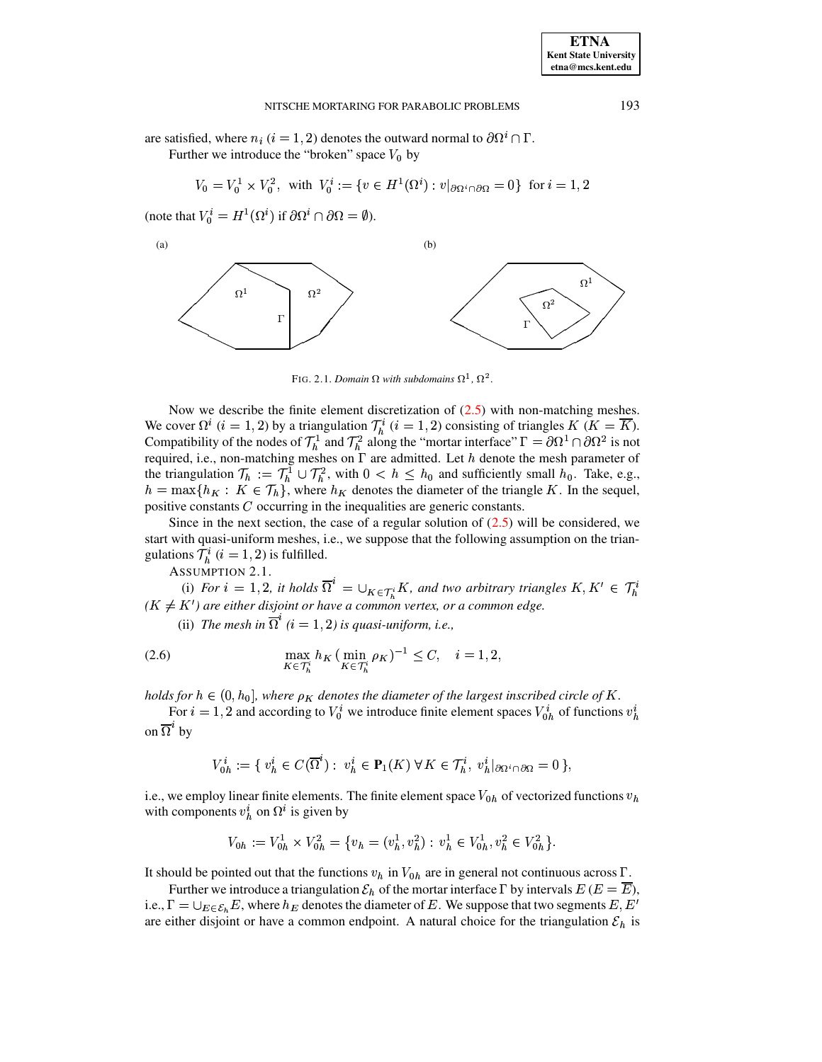are satisfied, where  $n_i$   $(i = 1, 2)$  denotes the outward normal to  $\partial \Omega^i \cap \Gamma$ .

Further we introduce the "broken" space  $V_0$  by

$$
V_0 = V_0^1 \times V_0^2
$$
, with  $V_0^i := \{ v \in H^1(\Omega^i) : v|_{\partial \Omega^i \cap \partial \Omega} = 0 \}$  for  $i = 1, 2$ 

(note that  $V_0^i = H^1(\Omega^i)$  if  $\partial \Omega^i \cap \partial \Omega = \emptyset$ ).



<span id="page-3-0"></span>FIG. 2.1. *Domain*  $\Omega$  with subdomains  $\Omega^1$ ,  $\Omega^2$ .

Now we describe the finite element discretization of  $(2.5)$  with non-matching meshes. We cover  $\Omega^i$  (i = 1, 2) by a triangulation  $\mathcal{T}_h^i$  (i = 1, 2) consisting of triangles K (K = K). Compatibility of the nodes of  $\mathcal{T}_h^1$  and  $\mathcal{T}_h^2$  along the "mortar interface"  $\Gamma = \partial \Omega^1 \cap \partial \Omega^2$  is not required, i.e., non-matching meshes on  $\Gamma$  are admitted. Let  $h$  denote the mesh parameter of the triangulation  $\mathcal{T}_h := \mathcal{T}_h^1 \cup \mathcal{T}_h^2$ , with  $0 \leq h \leq h_0$  and sufficiently small  $h_0$ . Take, e.g.,  $h = \max\{h_K : K \in \mathcal{T}_h\}$ , where  $h_K$  denotes the diameter of the triangle K. In the sequel, positive constants  $C$  occurring in the inequalities are generic constants.

Since in the next section, the case of a regular solution of  $(2.5)$  will be considered, we start with quasi-uniform meshes, i.e., we suppose that the following assumption on the triangulations  $\mathcal{T}_h^i$   $(i = 1, 2)$  is fulfilled.

ASSUMPTION 2.1.

<span id="page-3-1"></span>(i) For  $i = 1, 2$ , it holds  $\Omega^* = \bigcup_{K \in \mathcal{T}^i} K$ , and two arbitrary triangles  $K, K' \in \mathcal{T}_h^i$  $(K \neq K')$  *are either disjoint or have a common vertex, or a common edge.* 

(ii) *The mesh in*  $\Omega^{\text{c}}$  ( $i = 1, 2$ ) *is quasi-uniform, i.e.,* 

(2.6) 
$$
\max_{K \in \mathcal{T}_h^i} h_K \left( \min_{K \in \mathcal{T}_h^i} \rho_K \right)^{-1} \leq C, \quad i = 1, 2,
$$

*holds* for  $h \in (0, h_0]$ , where  $\rho_K$  denotes the diameter of the largest inscribed circle of K.

For  $i = 1, 2$  and according to  $V_0^i$  we introduce finite element spaces  $V_{0b}^i$  of functions  $v_b^i$ on  $\Omega^*$  by

$$
V_{0h}^i:=\{\ v^i_h\in C(\overline{\Omega}^i):\ v^i_h\in\mathbf{P}_1(K)\ \forall\, K\in\mathcal{T}_h^i,\ v^i_h|_{\partial\Omega^i\cap\partial\Omega}=0\,\},
$$

i.e., we employ linear finite elements. The finite element space  $V_{0h}$  of vectorized functions  $v_h$ with components  $v_h^i$  on  $\Omega^i$  is given by

$$
V_{0h} := V_{0h}^1 \times V_{0h}^2 = \{v_h = (v_h^1, v_h^2) : v_h^1 \in V_{0h}^1, v_h^2 \in V_{0h}^2\}.
$$

It should be pointed out that the functions  $v_h$  in  $V_{0h}$  are in general not continuous across  $\Gamma$ .

Further we introduce a triangulation  $\mathcal{E}_h$  of the mortar interface  $\Gamma$  by intervals  $E(E = E)$ , i.e.,  $\Gamma = \bigcup_{E \in \mathcal{E}_h} E$ , where  $h_E$  denotes the diameter of E. We suppose that two segments E, E' are either disjoint or have a common endpoint. A natural choice for the triangulation  $\mathcal{E}_h$  is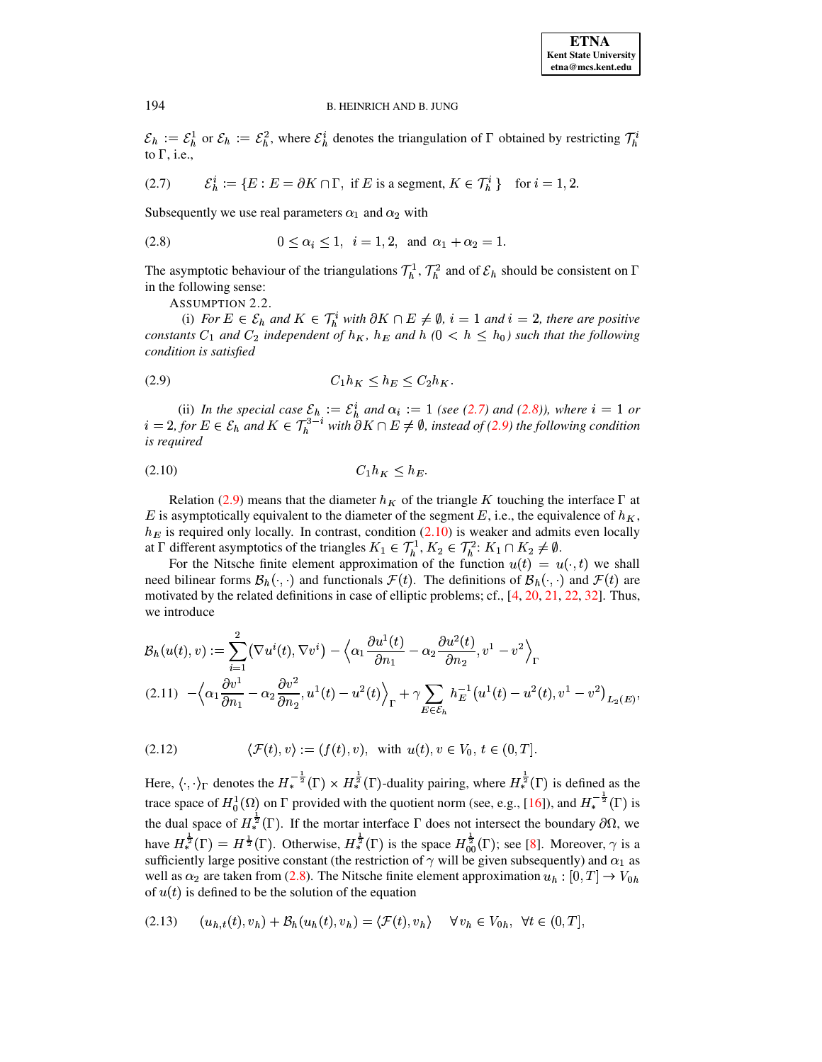<span id="page-4-0"></span> $\mathcal{E}_h := \mathcal{E}_h^1$  or  $\mathcal{E}_h := \mathcal{E}_h^2$ , where  $\mathcal{E}_h^i$  denotes the triangulation of  $\Gamma$  obtained by restricting  $\mathcal{T}_h^i$ to  $\Gamma$ , i.e.,

(2.7) 
$$
\mathcal{E}_h^i := \{ E : E = \partial K \cap \Gamma, \text{ if } E \text{ is a segment, } K \in \mathcal{T}_h^i \} \text{ for } i = 1, 2.
$$

Subsequently we use real parameters  $\alpha_1$  and  $\alpha_2$  with

<span id="page-4-1"></span>(2.8) 
$$
0 \le \alpha_i \le 1, i = 1, 2, \text{ and } \alpha_1 + \alpha_2 = 1.
$$

<span id="page-4-5"></span>The asymptotic behaviour of the triangulations  $\mathcal{T}_h^1$ ,  $\mathcal{T}_h^2$  and of  $\mathcal{E}_h$  should be consistent on  $\Gamma$ in the following sense:

ASSUMPTION 2.2.

<span id="page-4-2"></span>(i) For  $E \in \mathcal{E}_h$  and  $K \in \mathcal{T}_h^i$  with  $\partial K \cap E \neq \emptyset$ ,  $i = 1$  and  $i = 2$ , there are positive constants  $C_1$  and  $C_2$  independent of  $h_K$ ,  $h_E$  and  $h (0 \lt h \leq h_0)$  such that the following condition is satisfied

$$
(2.9) \tC_1 h_K \le h_E \le C_2 h_K.
$$

<span id="page-4-3"></span>(ii) In the special case  $\mathcal{E}_h := \mathcal{E}_h^i$  and  $\alpha_i := 1$  (see (2.7) and (2.8)), where  $i = 1$  or  $i = 2$ , for  $E \in \mathcal{E}_h$  and  $K \in \mathcal{T}_h^{3-i}$  with  $\partial K \cap E \neq \emptyset$ , instead of (2.9) the following condition is required

$$
(2.10) \tC_1 h_K \le h_E
$$

Relation (2.9) means that the diameter  $h_K$  of the triangle K touching the interface  $\Gamma$  at E is asymptotically equivalent to the diameter of the segment E, i.e., the equivalence of  $h_K$ ,  $h_E$  is required only locally. In contrast, condition (2.10) is weaker and admits even locally at  $\Gamma$  different asymptotics of the triangles  $K_1 \in \mathcal{T}_h^1$ ,  $K_2 \in \mathcal{T}_h^2$ :  $K_1 \cap K_2 \neq \emptyset$ .

For the Nitsche finite element approximation of the function  $u(t) = u(\cdot, t)$  we shall need bilinear forms  $\mathcal{B}_h(\cdot, \cdot)$  and functionals  $\mathcal{F}(t)$ . The definitions of  $\mathcal{B}_h(\cdot, \cdot)$  and  $\mathcal{F}(t)$  are motivated by the related definitions in case of elliptic problems; cf., [4, 20, 21, 22, 32]. Thus, we introduce

<span id="page-4-4"></span>
$$
\mathcal{B}_{h}(u(t), v) := \sum_{i=1}^{2} (\nabla u^{i}(t), \nabla v^{i}) - \left\langle \alpha_{1} \frac{\partial u^{1}(t)}{\partial n_{1}} - \alpha_{2} \frac{\partial u^{2}(t)}{\partial n_{2}}, v^{1} - v^{2} \right\rangle_{\Gamma}
$$
\n
$$
(2.11) \quad -\left\langle \alpha_{1} \frac{\partial v^{1}}{\partial n_{1}} - \alpha_{2} \frac{\partial v^{2}}{\partial n_{2}}, u^{1}(t) - u^{2}(t) \right\rangle_{\Gamma} + \gamma \sum_{E \in \mathcal{E}_{h}} h_{E}^{-1} (u^{1}(t) - u^{2}(t), v^{1} - v^{2})_{L_{2}(E)},
$$

$$
(2.12) \qquad \langle \mathcal{F}(t), v \rangle := (f(t), v), \text{ with } u(t), v \in V_0, t \in (0, T].
$$

Here,  $\langle \cdot, \cdot \rangle_{\Gamma}$  denotes the  $H_*^{-\frac{1}{2}}(\Gamma) \times H_*^{\frac{1}{2}}(\Gamma)$ -duality pairing, where  $H_*^{\frac{1}{2}}(\Gamma)$  is defined as the trace space of  $H_0^1(\Omega)$  on  $\Gamma$  provided with the quotient norm (see, e.g., [16]), and  $H_*^{-\frac{1}{2}}(\Gamma)$  is the dual space of  $H_*^{\frac{1}{2}}(\Gamma)$ . If the mortar interface  $\Gamma$  does not intersect the boundary  $\partial\Omega$ , we have  $H_*^{\frac{1}{2}}(\Gamma) = H^{\frac{1}{2}}(\Gamma)$ . Otherwise,  $H_*^{\frac{1}{2}}(\Gamma)$  is the space  $H_{00}^{\frac{1}{2}}(\Gamma)$ ; see [8]. Moreover,  $\gamma$  is a sufficiently large positive constant (the restriction of  $\gamma$  will be given subsequently) and  $\alpha_1$  as well as  $\alpha_2$  are taken from (2.8). The Nitsche finite element approximation  $u_h : [0, T] \rightarrow V_{0h}$ of  $u(t)$  is defined to be the solution of the equation

<span id="page-4-6"></span>
$$
(2.13) \qquad (u_{h,t}(t), v_h) + \mathcal{B}_h(u_h(t), v_h) = \langle \mathcal{F}(t), v_h \rangle \qquad \forall \, v_h \in V_{0h}, \ \forall t \in (0, T],
$$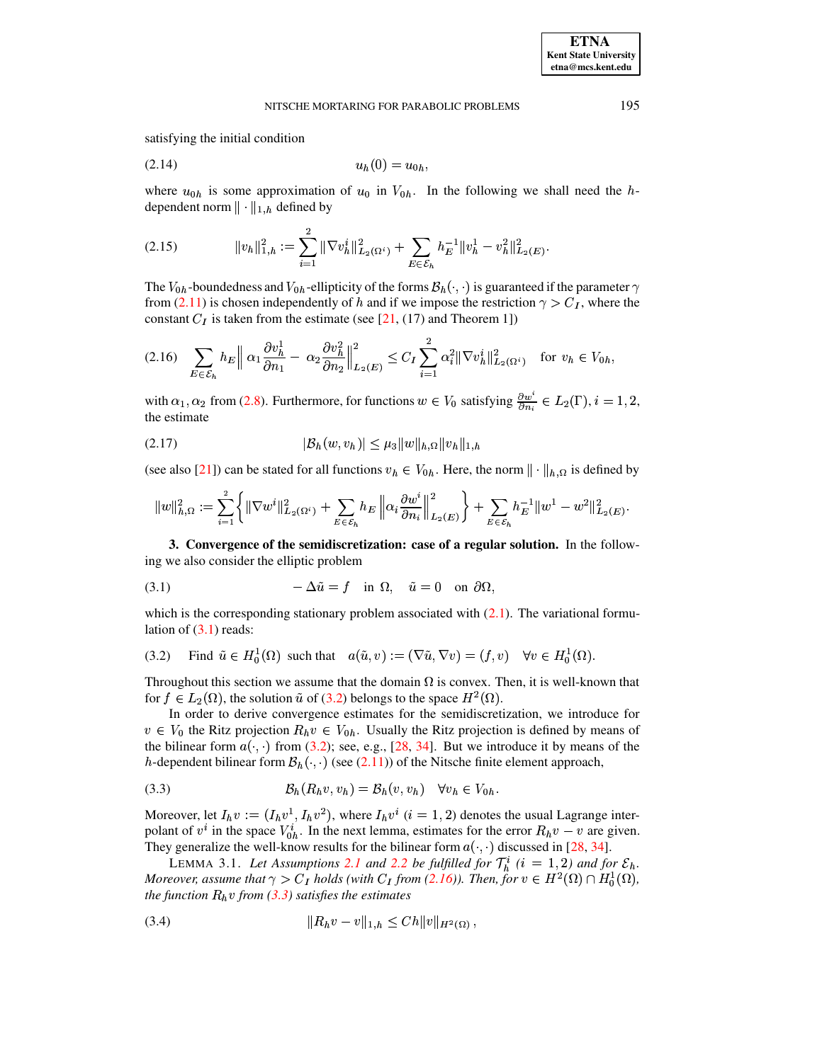satisfying the initial condition

<span id="page-5-8"></span>
$$
(2.14) \t\t\t uh(0) = u0h,
$$

<span id="page-5-7"></span>where  $u_{0h}$  is some approximation of  $u_0$  in  $V_{0h}$ . In the following we shall need the hdependent norm  $\|\cdot\|_{1,h}$  defined by

$$
(2.15) \t\t ||v_h||_{1,h}^2 := \sum_{i=1}^2 ||\nabla v_h^i||_{L_2(\Omega^i)}^2 + \sum_{E \in \mathcal{E}_h} h_E^{-1} ||v_h^1 - v_h^2||_{L_2(E)}^2.
$$

The  $V_{0h}$ -boundedness and  $V_{0h}$ -ellipticity of the forms  $\mathcal{B}_h(\cdot, \cdot)$  is guaranteed if the parameter  $\gamma$ from [\(2.11\)](#page-4-4) is chosen independently of h and if we impose the restriction  $\gamma > C_I$ , where the constant  $C_I$  is taken from the estimate (see [\[21,](#page-19-7) (17) and Theorem 1])

<span id="page-5-2"></span>
$$
(2.16)\quad \sum_{E\in\mathcal{E}_h} h_E \Big\|\alpha_1 \frac{\partial v_h^1}{\partial n_1} - \alpha_2 \frac{\partial v_h^2}{\partial n_2}\Big\|_{L_2(E)}^2 \le C_I \sum_{i=1}^2 \alpha_i^2 \|\nabla v_h^i\|_{L_2(\Omega^i)}^2 \quad \text{for } v_h \in V_{0h},
$$

<span id="page-5-5"></span>with  $\alpha_1, \alpha_2$  from [\(2.8\)](#page-4-1). Furthermore, for functions  $w \in V_0$  satisfying  $\frac{\partial w^i}{\partial n_i} \in L_2(\Gamma)$ ,  $i = 1, 2$ , the estimate

$$
(2.17) \t\t |B_h(w, v_h)| \leq \mu_3 \|w\|_{h,\Omega} \|v_h\|_{1,h}
$$

(see also [\[21\]](#page-19-7)) can be stated for all functions  $v_h \in V_{0h}$ . Here, the norm  $\|\cdot\|_{h,\Omega}$  is defined by

$$
||w||_{h,\Omega}^2 := \sum_{i=1}^2 \left\{ ||\nabla w^i||^2_{L_2(\Omega^i)} + \sum_{E \in \mathcal{E}_h} h_E \left\| \alpha_i \frac{\partial w^i}{\partial n_i} \right\|_{L_2(E)}^2 \right\} + \sum_{E \in \mathcal{E}_h} h_E^{-1} ||w^1 - w^2||^2_{L_2(E)}.
$$

<span id="page-5-9"></span>**3. Convergence of the semidiscretization: case of a regular solution.** In the following we also consider the elliptic problem

<span id="page-5-0"></span>(3.1) 
$$
-\Delta \tilde{u} = f \text{ in } \Omega, \quad \tilde{u} = 0 \text{ on } \partial \Omega,
$$

which is the corresponding stationary problem associated with  $(2.1)$ . The variational formulation of  $(3.1)$  reads:

<span id="page-5-1"></span>(3.2) Find 
$$
\tilde{u} \in H_0^1(\Omega)
$$
 such that  $a(\tilde{u}, v) := (\nabla \tilde{u}, \nabla v) = (f, v) \quad \forall v \in H_0^1(\Omega)$ .

Throughout this section we assume that the domain  $\Omega$  is convex. Then, it is well-known that for  $f \in L_2(\Omega)$ , the solution  $\tilde{u}$  of [\(3.2\)](#page-5-1) belongs to the space  $H^2(\Omega)$ .

In order to derive convergence estimates for the semidiscretization, we introduce for  $v \in V_0$  the Ritz projection  $R_h v \in V_0$ . Usually the Ritz projection is defined by means of the bilinear form  $a(\cdot, \cdot)$  from [\(3.2\)](#page-5-1); see, e.g., [\[28,](#page-19-1) [34\]](#page-19-2). But we introduce it by means of the h-dependent bilinear form  $\mathcal{B}_h(\cdot, \cdot)$  (see [\(2.11\)](#page-4-4)) of the Nitsche finite element approach,

<span id="page-5-3"></span>(3.3) è¨5¨ Q=9Q¨ : ! è¨5 Q=9Q¨ : ¤Q¨ R¹<sup>&</sup>lt; ¨

Moreover, let  $I_h v := (I_h v^1, I_h v^2)$ , where  $I_h v^i$   $(i = 1, 2)$  denotes the usual Lagrange interpolant of  $v^i$  in the space  $V_{0h}^i$ . In the next lemma, estimates for the error  $R_h v - v$  are given. They generalize the well-know results for the bilinear form  $a(\cdot, \cdot)$  discussed in [\[28,](#page-19-1) [34\]](#page-19-2).

<span id="page-5-6"></span>LEMMA 3.1. Let Assumptions [2.1](#page-3-1) and [2.2](#page-4-5) be fulfilled for  $\mathcal{T}_h^i$  (i = 1, 2) and for  $\mathcal{E}_h$ . *Moreover, assume that*  $\gamma > C_I$  *holds* (with  $C_I$  *from* [\(2.16\)](#page-5-2)). Then, for  $v \in H^2(\Omega) \cap H_0^1(\Omega)$ , *the function*  $R_h v$  *from* [\(3.3\)](#page-5-3) *satisfies the estimates* 

<span id="page-5-4"></span>(3.4) \¨ <sup>Q</sup> Q2\ ¨ +tÐiâ\]Q \ \_ adce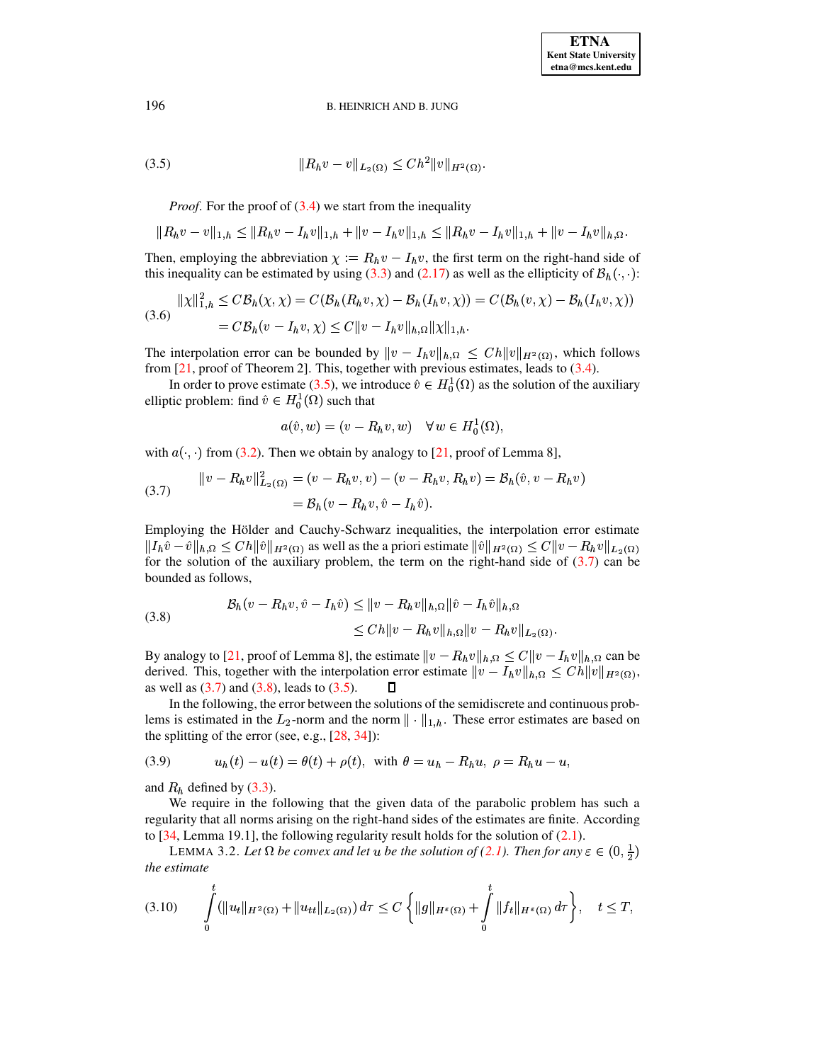$$
(3.5) \t\t\t ||R_h v - v||_{L_2(\Omega)} \leq Ch^2 ||v||_{H^2(\Omega)}.
$$

*Proof.* For the proof of  $(3.4)$  we start from the inequality

$$
||R_hv - v||_{1,h} \le ||R_hv - I_hv||_{1,h} + ||v - I_hv||_{1,h} \le ||R_hv - I_hv||_{1,h} + ||v - I_hv||_{h,\Omega}.
$$

Then, employing the abbreviation  $\chi := R_h v - I_h v$ , the first term on the right-hand side of this inequality can be estimated by using [\(3.3\)](#page-5-3) and [\(2.17\)](#page-5-5) as well as the ellipticity of  $B_h(\cdot, \cdot)$ :

$$
||\chi||_{1,h}^{2} \leq C\mathcal{B}_{h}(\chi,\chi) = C(\mathcal{B}_{h}(R_{h}v,\chi) - \mathcal{B}_{h}(I_{h}v,\chi)) = C(\mathcal{B}_{h}(v,\chi) - \mathcal{B}_{h}(I_{h}v,\chi))
$$
  
(3.6)  

$$
= C\mathcal{B}_{h}(v - I_{h}v,\chi) \leq C||v - I_{h}v||_{h,\Omega}||\chi||_{1,h}.
$$

The interpolation error can be bounded by  $||v - I_h v||_{h,\Omega} \leq Ch ||v||_{H^2(\Omega)}$ , which follows from [\[21,](#page-19-7) proof of Theorem 2]. This, together with previous estimates, leads to [\(3.4\)](#page-5-4).

In order to prove estimate [\(3.5\)](#page-6-0), we introduce  $\hat{v} \in H_0^1(\Omega)$  as the solution of the auxiliary elliptic problem: find  $\hat{v} \in H_0^1(\Omega)$  such that

$$
a(\hat{v}, w) = (v - R_h v, w) \quad \forall w \in H_0^1(\Omega),
$$

with  $a(\cdot, \cdot)$  from [\(3.2\)](#page-5-1). Then we obtain by analogy to [\[21,](#page-19-7) proof of Lemma 8],

<span id="page-6-1"></span>(3.7) 
$$
||v - R_h v||_{L_2(\Omega)}^2 = (v - R_h v, v) - (v - R_h v, R_h v) = \mathcal{B}_h(\hat{v}, v - R_h v) = \mathcal{B}_h(v - R_h v, \hat{v} - I_h \hat{v}).
$$

Employing the Hölder and Cauchy-Schwarz inequalities, the interpolation error estimate  $\|I_h\hat{v}-\hat{v}\|_{h,\Omega}\leq Ch\|\hat{v}\|_{H^2(\Omega)}$  as well as the a priori estimate  $\|\hat{v}\|_{H^2(\Omega)}\leq C\|v-R_hv\|_{L_2(\Omega)}$ for the solution of the auxiliary problem, the term on the right-hand side of  $(3.7)$  can be bounded as follows,

<span id="page-6-2"></span>(3.8) 
$$
\mathcal{B}_h(v - R_h v, \hat{v} - I_h \hat{v}) \le ||v - R_h v||_{h,\Omega} ||\hat{v} - I_h \hat{v}||_{h,\Omega} \le C h ||v - R_h v||_{h,\Omega} ||v - R_h v||_{L_2(\Omega)}.
$$

By analogy to [\[21,](#page-19-7) proof of Lemma 8], the estimate  $\|v - R_h v\|_{h,\Omega} \leq C \|v - I_h v\|_{h,\Omega}$  can be derived. This, together with the interpolation error estimate  $\|v - I_h v\|_{h,\Omega} \leq Ch \|v\|_{H^2(\Omega)}$ , as well as  $(3.7)$  and  $(3.8)$ , leads to  $(3.5)$ .  $\Box$ 

In the following, the error between the solutions of the semidiscrete and continuous problems is estimated in the  $L_2$ -norm and the norm  $\|\cdot\|_{1,h}$ . These error estimates are based on the splitting of the error (see, e.g., [\[28,](#page-19-1) [34\]](#page-19-2)):

<span id="page-6-3"></span>(3.9) 
$$
u_h(t) - u(t) = \theta(t) + \rho(t)
$$
, with  $\theta = u_h - R_h u$ ,  $\rho = R_h u - u$ ,

and  $R_h$  defined by [\(3.3\)](#page-5-3).

We require in the following that the given data of the parabolic problem has such a regularity that all norms arising on the right-hand sides of the estimates are finite. According to  $[34,$  Lemma 19.1], the following regularity result holds for the solution of  $(2.1)$ .

<span id="page-6-5"></span><span id="page-6-4"></span>LEMMA 3.2. Let  $\Omega$  be convex and let u be the solution of [\(2.1\)](#page-1-1). Then for any  $\varepsilon \in (0, \frac{1}{2})$ *the estimate*

$$
(3.10) \qquad \int_{0}^{t} (\|u_t\|_{H^2(\Omega)} + \|u_{tt}\|_{L_2(\Omega)}) \, d\tau \leq C \left\{ \|g\|_{H^{\varepsilon}(\Omega)} + \int_{0}^{t} \|f_t\|_{H^{\varepsilon}(\Omega)} \, d\tau \right\}, \quad t \leq T,
$$

<span id="page-6-0"></span>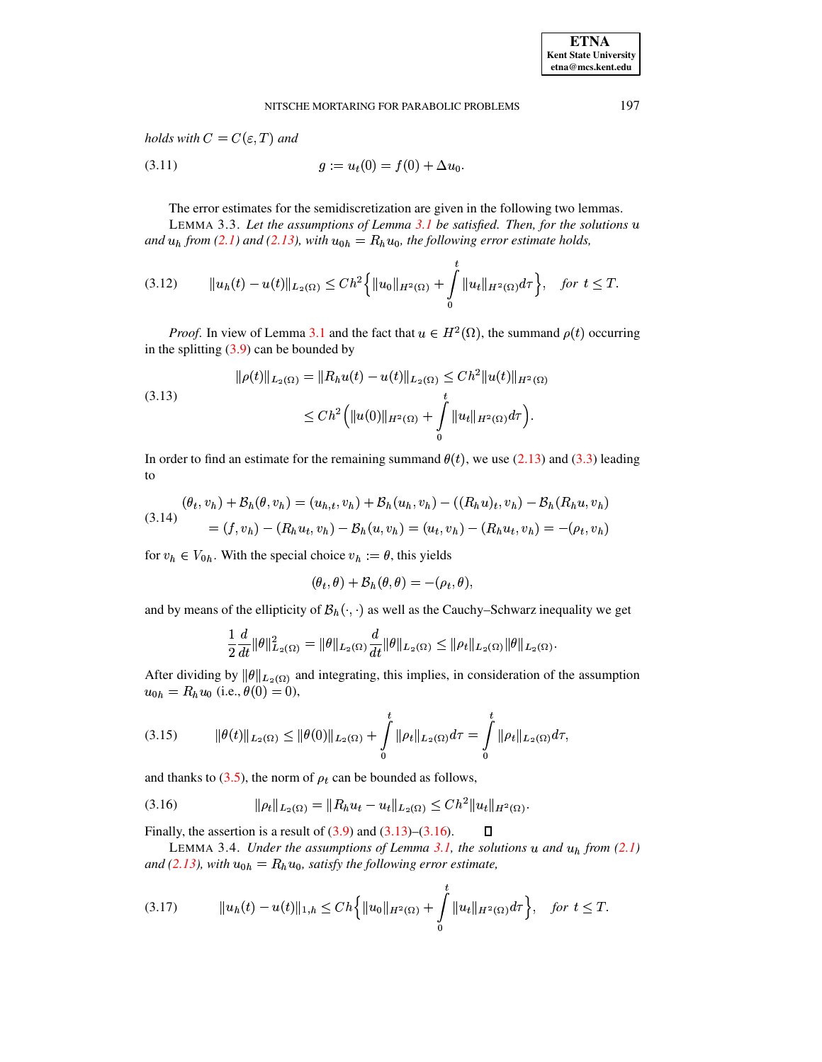<span id="page-7-5"></span>holds with  $C = C(\varepsilon, T)$  and

(3.11) 
$$
g := u_t(0) = f(0) + \Delta u_0.
$$

<span id="page-7-3"></span><span id="page-7-2"></span>The error estimates for the semidiscretization are given in the following two lemmas.

LEMMA 3.3. Let the assumptions of Lemma  $3.1$  be satisfied. Then, for the solutions  $u$ and  $u_h$  from (2.1) and (2.13), with  $u_{0h} = R_h u_0$ , the following error estimate holds,

$$
(3.12) \t\t ||u_h(t) - u(t)||_{L_2(\Omega)} \le Ch^2 \Big\{ ||u_0||_{H^2(\Omega)} + \int_0^t ||u_t||_{H^2(\Omega)} d\tau \Big\}, \text{ for } t \le T
$$

*Proof.* In view of Lemma 3.1 and the fact that  $u \in H^2(\Omega)$ , the summand  $\rho(t)$  occurring in the splitting  $(3.9)$  can be bounded by

<span id="page-7-0"></span>(3.13)  

$$
\|\rho(t)\|_{L_2(\Omega)} = \|R_h u(t) - u(t)\|_{L_2(\Omega)} \le C h^2 \|u(t)\|_{H^2(\Omega)}
$$

$$
\le C h^2 \left( \|u(0)\|_{H^2(\Omega)} + \int_0^t \|u_t\|_{H^2(\Omega)} d\tau \right).
$$

In order to find an estimate for the remaining summand  $\theta(t)$ , we use (2.13) and (3.3) leading to

<span id="page-7-7"></span>
$$
(\theta_t, v_h) + \mathcal{B}_h(\theta, v_h) = (u_{h,t}, v_h) + \mathcal{B}_h(u_h, v_h) - ((R_h u)_t, v_h) - \mathcal{B}_h(R_h u, v_h)
$$
  

$$
= (f, v_h) - (R_h u_t, v_h) - \mathcal{B}_h(u, v_h) = (u_t, v_h) - (R_h u_t, v_h) = -(\rho_t, v_h)
$$

for  $v_h \in V_{0h}$ . With the special choice  $v_h := \theta$ , this yields

<span id="page-7-1"></span>
$$
(\theta_t, \theta) + \mathcal{B}_h(\theta, \theta) = -(\rho_t, \theta),
$$

and by means of the ellipticity of  $\mathcal{B}_h(\cdot, \cdot)$  as well as the Cauchy–Schwarz inequality we get

<span id="page-7-6"></span>
$$
\frac{1}{2}\frac{d}{dt}\|\theta\|_{L_2(\Omega)}^2 = \|\theta\|_{L_2(\Omega)}\frac{d}{dt}\|\theta\|_{L_2(\Omega)} \le \|\rho_t\|_{L_2(\Omega)}\|\theta\|_{L_2(\Omega)}
$$

After dividing by  $\|\theta\|_{L_2(\Omega)}$  and integrating, this implies, in consideration of the assumption  $u_{0h} = R_h u_0$  (i.e.,  $\theta(0) = 0$ ),

and thanks to (3.5), the norm of  $\rho_t$  can be bounded as follows,

Finally, the assertion is a result of  $(3.9)$  and  $(3.13)$ – $(3.16)$ .  $\Box$ 

LEMMA 3.4. Under the assumptions of Lemma 3.1, the solutions  $u$  and  $u<sub>h</sub>$  from (2.1) and (2.13), with  $u_{0h} = R_h u_0$ , satisfy the following error estimate,

<span id="page-7-4"></span>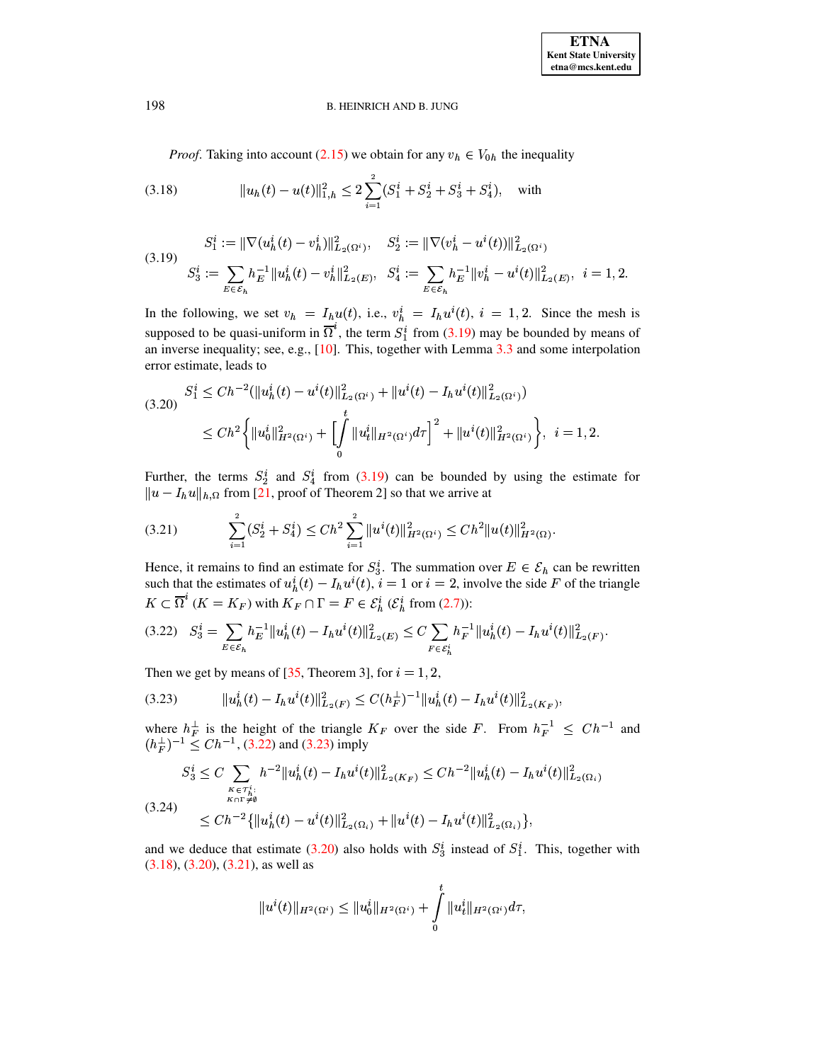*Proof.* Taking into account [\(2.15\)](#page-5-7) we obtain for any  $v_h \in V_{0h}$  the inequality

<span id="page-8-4"></span>(3.18) 
$$
||u_h(t) - u(t)||_{1,h}^2 \le 2\sum_{i=1}^2 (S_1^i + S_2^i + S_3^i + S_4^i), \text{ with}
$$

<span id="page-8-0"></span>
$$
(3.19) \quad S_3^i := \|\nabla(u_h^i(t) - v_h^i)\|_{L_2(\Omega^i)}^2, \quad S_2^i := \|\nabla(v_h^i - u^i(t))\|_{L_2(\Omega^i)}^2
$$
\n
$$
S_3^i := \sum_{E \in \mathcal{E}_h} h_E^{-1} \|u_h^i(t) - v_h^i\|_{L_2(E)}^2, \quad S_4^i := \sum_{E \in \mathcal{E}_h} h_E^{-1} \|v_h^i - u^i(t)\|_{L_2(E)}^2, \quad i = 1, 2.
$$

In the following, we set  $v_h = I_h u(t)$ , i.e.,  $v_h^i = I_h u^i(t)$ ,  $i = 1, 2$ . Since the mesh is supposed to be quasi-uniform in  $\Omega^*$ , the term  $S_1^i$  from [\(3.19\)](#page-8-0) may be bounded by means of an inverse inequality; see, e.g., [\[10\]](#page-19-25). This, together with Lemma [3.3](#page-7-2) and some interpolation error estimate, leads to

<span id="page-8-3"></span>
$$
(3.20) \quad S_1^i \leq Ch^{-2}(\|u_h^i(t) - u^i(t)\|_{L_2(\Omega^i)}^2 + \|u^i(t) - I_h u^i(t)\|_{L_2(\Omega^i)}^2)
$$
\n
$$
\leq Ch^2 \left\{ \|u_0^i\|_{H^2(\Omega^i)}^2 + \left[\int_0^t \|u_t^i\|_{H^2(\Omega^i)} d\tau \right]^2 + \|u^i(t)\|_{H^2(\Omega^i)}^2 \right\}, \quad i = 1, 2.
$$

Further, the terms  $S_2^i$  and  $S_4^i$  from [\(3.19\)](#page-8-0) can be bounded by using the estimate for  $\| u - I_h u \|_{h, \Omega}$  from [\[21,](#page-19-7) proof of Theorem 2] so that we arrive at

<span id="page-8-5"></span>
$$
(3.21) \qquad \sum_{i=1}^{2} (S_2^i + S_4^i) \leq Ch^2 \sum_{i=1}^{2} ||u^i(t)||^2_{H^2(\Omega^i)} \leq Ch^2 ||u(t)||^2_{H^2(\Omega)}.
$$

Hence, it remains to find an estimate for  $S_3^i$ . The summation over  $E \in \mathcal{E}_h$  can be rewritten such that the estimates of  $u_h^i(t) - I_h u^i(t)$ ,  $i = 1$  or  $i = 2$ , involve the side F of the triangle  $K \subset \Omega^{\dagger}$  ( $K = K_F$ ) with  $K_F \cap \Gamma = F \in \mathcal{E}_h^i$  ( $\mathcal{E}_h^i$  from [\(2.7\)](#page-4-0)):

<span id="page-8-1"></span>
$$
(3.22) \quad S_3^i = \sum_{E \in \mathcal{E}_h} h_E^{-1} ||u_h^i(t) - I_h u^i(t)||_{L_2(E)}^2 \leq C \sum_{F \in \mathcal{E}_h^i} h_F^{-1} ||u_h^i(t) - I_h u^i(t)||_{L_2(F)}^2.
$$

<span id="page-8-2"></span>Then we get by means of  $[35,$  Theorem 3], for  $i = 1, 2$ ,

(3.23) \ ±¨ <sup>5</sup> )8: ¨ <sup>±</sup> 5)8:|\  } a5e +tÐ <sup>5</sup> ;:5 : T \ ±¨ <sup>5</sup> )8: ¨ <sup>±</sup> <sup>5</sup> )8:{\  } aÎ=< <sup>e</sup> 

where  $h_F^{\perp}$  is the height of the triangle  $K_F$  over the side F. From  $h_F^{-1} \leq Ch^{-1}$  and  $(h_F^{\perp})^{-1} \leq C h^{-1}$ , [\(3.22\)](#page-8-1) and [\(3.23\)](#page-8-2) imply

$$
S_3^i \le C \sum_{\substack{\kappa \in \tau_h^i:\\K \cap \Gamma \neq \emptyset}} h^{-2} \|u_h^i(t) - I_h u^i(t)\|_{L_2(K_F)}^2 \le C h^{-2} \|u_h^i(t) - I_h u^i(t)\|_{L_2(\Omega_i)}^2
$$
  
(3.24)  

$$
\le C h^{-2} \{ \|u_h^i(t) - u^i(t)\|_{L_2(\Omega_i)}^2 + \|u^i(t) - I_h u^i(t)\|_{L_2(\Omega_i)}^2 \},
$$

and we deduce that estimate [\(3.20\)](#page-8-3) also holds with  $S_3^i$  instead of  $S_1^i$ . This, together with [\(3.18\)](#page-8-4), [\(3.20\)](#page-8-3), [\(3.21\)](#page-8-5), as well as

$$
||u^i(t)||_{H^2(\Omega^i)} \leq ||u^i_0||_{H^2(\Omega^i)} + \int\limits_0^t ||u^i_t||_{H^2(\Omega^i)}d\tau,
$$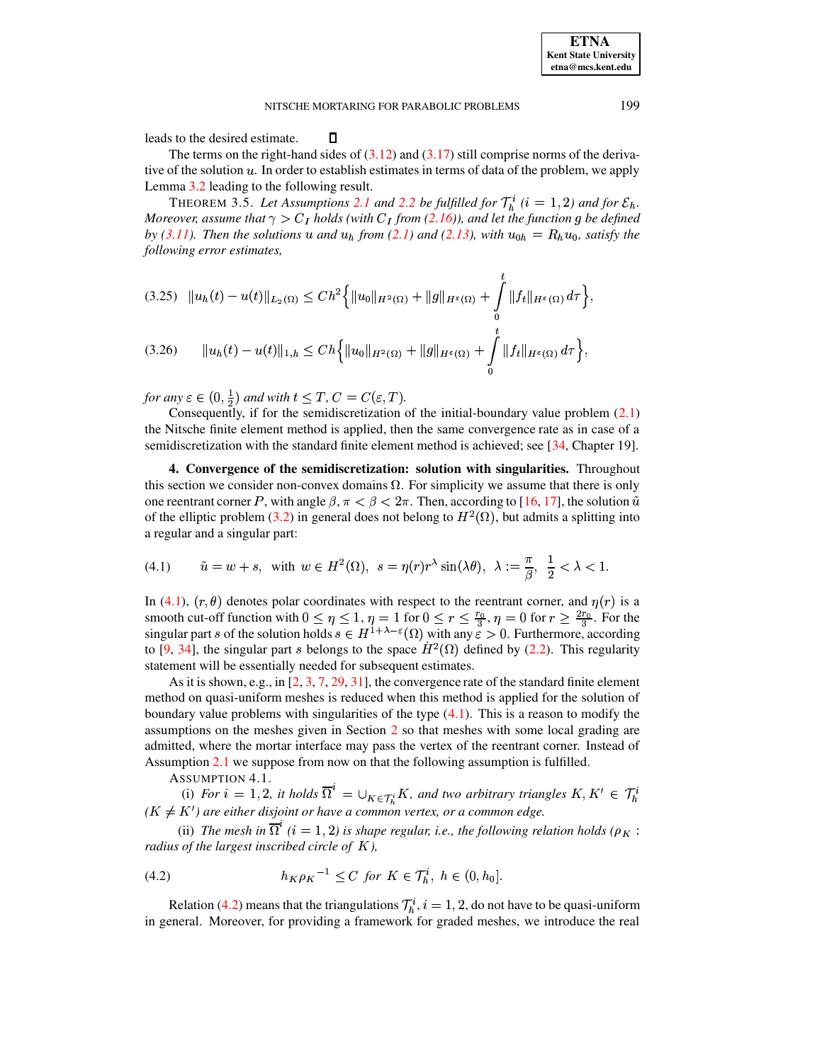**ETNA Kent State University** etna@mcs.kent.edu

leads to the desired estimate.

The terms on the right-hand sides of  $(3.12)$  and  $(3.17)$  still comprise norms of the derivative of the solution  $u$ . In order to establish estimates in terms of data of the problem, we apply Lemma 3.2 leading to the following result.

<span id="page-9-5"></span> $\Box$ 

THEOREM 3.5. Let Assumptions 2.1 and 2.2 be fulfilled for  $\mathcal{T}_h^i$  (i = 1, 2) and for  $\mathcal{E}_h$ . Moreover, assume that  $\gamma > C_I$  holds (with  $C_I$  from (2.16)), and let the function g be defined by (3.11). Then the solutions u and  $u_h$  from (2.1) and (2.13), with  $u_{0h} = R_h u_0$ , satisfy the following error estimates,

<span id="page-9-4"></span>
$$
(3.25) \quad ||u_h(t) - u(t)||_{L_2(\Omega)} \le Ch^2 \Big\{ ||u_0||_{H^2(\Omega)} + ||g||_{H^{\varepsilon}(\Omega)} + \int_0^t ||f_t||_{H^{\varepsilon}(\Omega)} d\tau \Big\},
$$
  

$$
(3.26) \qquad ||u_h(t) - u(t)||_{1,h} \le Ch \Big\{ ||u_0||_{H^2(\Omega)} + ||g||_{H^{\varepsilon}(\Omega)} + \int_0^t ||f_t||_{H^{\varepsilon}(\Omega)} d\tau \Big\},
$$

for any  $\varepsilon \in (0, \frac{1}{2})$  and with  $t \leq T$ ,  $C = C(\varepsilon, T)$ .

Consequently, if for the semidiscretization of the initial-boundary value problem  $(2.1)$ the Nitsche finite element method is applied, then the same convergence rate as in case of a semidiscretization with the standard finite element method is achieved; see  $[34, Chapter 19]$ .

<span id="page-9-0"></span>4. Convergence of the semidiscretization: solution with singularities. Throughout this section we consider non-convex domains  $\Omega$ . For simplicity we assume that there is only one reentrant corner P, with angle  $\beta$ ,  $\pi < \beta < 2\pi$ . Then, according to [16, 17], the solution  $\tilde{u}$ of the elliptic problem (3.2) in general does not belong to  $H^2(\Omega)$ , but admits a splitting into a regular and a singular part:

<span id="page-9-1"></span>
$$
(4.1) \qquad \tilde u=w+s, \;\; \mathrm{with} \;\; w\in H^2(\Omega), \;\; s=\eta(r)r^{\lambda}\sin(\lambda\theta), \;\; \lambda:=\frac{\pi}{\beta}, \;\; \frac{1}{2}<\lambda<1.
$$

In (4.1),  $(r, \theta)$  denotes polar coordinates with respect to the reentrant corner, and  $\eta(r)$  is a smooth cut-off function with  $0 \le \eta \le 1$ ,  $\eta = 1$  for  $0 \le r \le \frac{r_0}{3}$ ,  $\eta = 0$  for  $r \ge \frac{2r_0}{3}$ . For the singular part s of the solution holds  $s \in H^{1+\lambda-\epsilon}(\Omega)$  with any  $\epsilon > 0$ . Furthermore, according to [9, 34], the singular part s belongs to the space  $\dot{H}^2(\Omega)$  defined by (2.2). This regularity statement will be essentially needed for subsequent estimates.

As it is shown, e.g., in  $[2, 3, 7, 29, 31]$ , the convergence rate of the standard finite element method on quasi-uniform meshes is reduced when this method is applied for the solution of boundary value problems with singularities of the type  $(4.1)$ . This is a reason to modify the assumptions on the meshes given in Section 2 so that meshes with some local grading are admitted, where the mortar interface may pass the vertex of the reentrant corner. Instead of Assumption 2.1 we suppose from now on that the following assumption is fulfilled.

<span id="page-9-2"></span>ASSUMPTION 4.1.

<span id="page-9-3"></span>(i) For  $i = 1, 2$ , it holds  $\overline{\Omega}^i = \bigcup_{K \in \mathcal{T}_h^i} K$ , and two arbitrary triangles  $K, K' \in \mathcal{T}_h^i$  $(K \neq K')$  are either disjoint or have a common vertex, or a common edge.

(ii) The mesh in  $\overline{\Omega}^i$  (i = 1, 2) is shape regular, i.e., the following relation holds ( $\rho_K$ : radius of the largest inscribed circle of  $K$ ),

(4.2) 
$$
h_K \rho_K^{-1} < C \ \text{for } K \in \mathcal{T}_h^i, \ h \in (0, h_0].
$$

Relation (4.2) means that the triangulations  $\mathcal{T}_h^i$ ,  $i = 1, 2$ , do not have to be quasi-uniform in general. Moreover, for providing a framework for graded meshes, we introduce the real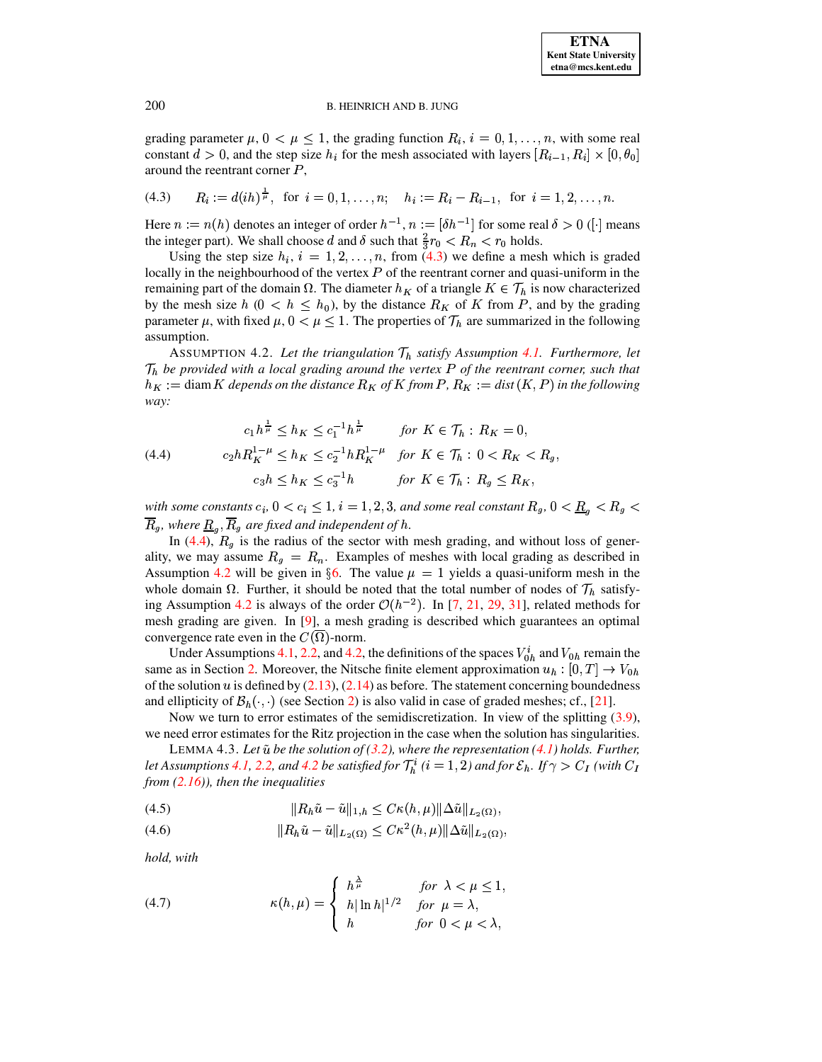<span id="page-10-0"></span>grading parameter  $\mu$ ,  $0 < \mu \leq 1$ , the grading function  $R_i$ ,  $i = 0, 1, \ldots, n$ , with some real constant  $d > 0$ , and the step size  $h_i$  for the mesh associated with layers  $[R_{i-1}, R_i] \times [0, \theta_0]$ around the reentrant corner  $P$ ,

$$
(4.3) \qquad R_i := d(ih)^{\frac{1}{\mu}}, \text{ for } i = 0, 1, \dots, n; \quad h_i := R_i - R_{i-1}, \text{ for } i = 1, 2, \dots, n.
$$

Here  $n := n(h)$  denotes an integer of order  $h^{-1}$ ,  $n := [\delta h^{-1}]$  for some real  $\delta > 0$  ([·] means the integer part). We shall choose d and  $\delta$  such that  $\frac{2}{3}r_0 < R_n < r_0$  holds.

Using the step size  $h_i$ ,  $i = 1, 2, ..., n$ , from [\(4.3\)](#page-10-0) we define a mesh which is graded locally in the neighbourhood of the vertex  $P$  of the reentrant corner and quasi-uniform in the remaining part of the domain  $\Omega$ . The diameter  $h_K$  of a triangle  $K \in \mathcal{T}_h$  is now characterized by the mesh size  $h$  ( $0 < h \leq h_0$ ), by the distance  $R_K$  of K from P, and by the grading parameter  $\mu$ , with fixed  $\mu$ ,  $0 < \mu \leq 1$ . The properties of  $\mathcal{T}_h$  are summarized in the following assumption.

<span id="page-10-2"></span>ASSUMPTION 4.2. Let the triangulation  $\mathcal{T}_h$  satisfy Assumption [4.1.](#page-9-3) Furthermore, let  $\mathcal{T}_h$  be provided with a local grading around the vertex P of the reentrant corner, such that  $h_K :=$  diam  $K$  *depends on the distance*  $R_K$  *of*  $K$  *from*  $P$ ,  $R_K :=$  *dist*  $(K, P)$  *in the following way:* ^

<span id="page-10-1"></span>(4.4) 
$$
c_1 h^{\frac{1}{\mu}} \le h_K \le c_1^{-1} h^{\frac{1}{\mu}} \quad \text{for } K \in \mathcal{T}_h : R_K = 0,
$$

$$
c_2 h R_K^{1-\mu} \le h_K \le c_2^{-1} h R_K^{1-\mu} \quad \text{for } K \in \mathcal{T}_h : 0 < R_K < R_g,
$$

$$
c_3 h \le h_K \le c_3^{-1} h \quad \text{for } K \in \mathcal{T}_h : R_g \le R_K,
$$

*with some constants*  $c_i$ ,  $0 < c_i \le 1$ ,  $i = 1, 2, 3$ , and some real constant  $R_g$ ,  $0 < \underline{R}_g < R_g <$  $\overline{R}_q$ , where  $\underline{R}_q$ ,  $\overline{R}_q$  are fixed and independent of h.

In [\(4.4\)](#page-10-1),  $R_q$  is the radius of the sector with mesh grading, and without loss of generality, we may assume  $R_q = R_n$ . Examples of meshes with local grading as described in Assumption [4.2](#page-10-2) will be given in §[6.](#page-15-0) The value  $\mu = 1$  yields a quasi-uniform mesh in the whole domain  $\Omega$ . Further, it should be noted that the total number of nodes of  $\mathcal{T}_h$  satisfy-ing Assumption [4.2](#page-10-2) is always of the order  $\mathcal{O}(h^{-2})$ . In [\[7,](#page-18-6) [21,](#page-19-7) [29,](#page-19-27) [31\]](#page-19-28), related methods for mesh grading are given. In [\[9\]](#page-19-20), a mesh grading is described which guarantees an optimal convergence rate even in the  $C(\overline{\Omega})$ -norm.

Under Assumptions [4.1,](#page-9-3) [2.2,](#page-4-5) and [4.2,](#page-10-2) the definitions of the spaces  $V_{0h}^i$  and  $V_{0h}$  remain the same as in Section [2.](#page-1-0) Moreover, the Nitsche finite element approximation  $u_h : [0, T] \rightarrow V_{0h}$ of the solution u is defined by  $(2.13)$ ,  $(2.14)$  as before. The statement concerning boundedness and ellipticity of  $\mathcal{B}_h(\cdot, \cdot)$  (see Section [2\)](#page-1-0) is also valid in case of graded meshes; cf., [\[21\]](#page-19-7).

<span id="page-10-4"></span>Now we turn to error estimates of the semidiscretization. In view of the splitting [\(3.9\)](#page-6-3), we need error estimates for the Ritz projection in the case when the solution has singularities.

LEMMA 4.3. *Let be the solution of [\(3.2\)](#page-5-1), where the representation [\(4.1\)](#page-9-1) holds. Further,*  $l$  *let* Assumptions [4.1,](#page-9-3) [2.2,](#page-4-5) and [4.2](#page-10-2) be satisfied for  $\mathcal{T}_h^i$  ( $i=1,2$ ) and for  $\mathcal{E}_h$ . If  $\gamma>C_I$  (with  $C_I$ *from [\(2.16\)](#page-5-2)), then the inequalities*

<span id="page-10-3"></span>
$$
(4.5) \t\t\t\t ||R_h\tilde{u}-\tilde{u}||_{1,h} \leq C\kappa(h,\mu)||\Delta\tilde{u}||_{L_2(\Omega)},
$$

$$
(4.6) \t\t\t ||R_h\tilde{u} - \tilde{u}||_{L_2(\Omega)} \leq C\kappa^2(h,\mu) ||\Delta \tilde{u}||_{L_2(\Omega)},
$$

*hold, with*

<span id="page-10-5"></span>(4.7) 
$$
\kappa(h,\mu) = \begin{cases} h^{\frac{\lambda}{\mu}} & \text{for } \lambda < \mu \leq 1, \\ h|\ln h|^{1/2} & \text{for } \mu = \lambda, \\ h & \text{for } 0 < \mu < \lambda, \end{cases}
$$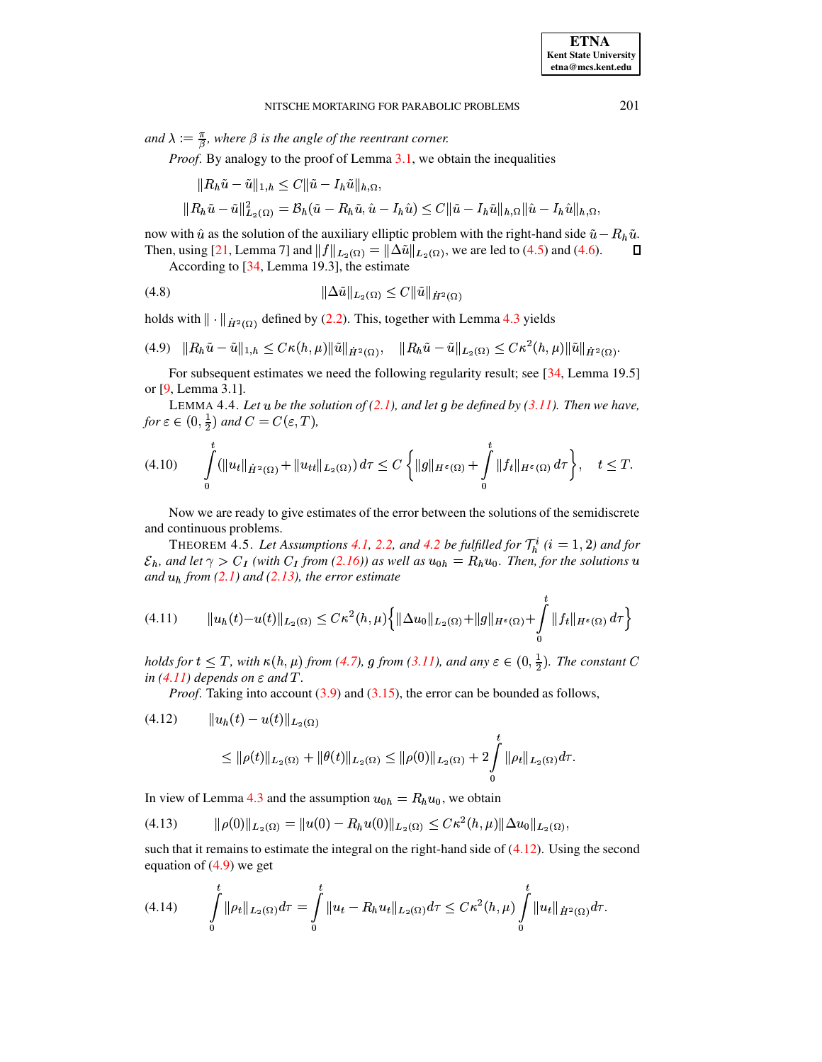*and*  $\lambda := \frac{\pi}{\beta}$ , where  $\beta$  *is the angle of the reentrant corner.* 

*Proof.* By analogy to the proof of Lemma [3.1,](#page-5-6) we obtain the inequalities

$$
\begin{aligned} \|R_h\tilde{u} - \tilde{u}\|_{1,h} &\leq C \|\tilde{u} - I_h\tilde{u}\|_{h,\Omega}, \\ \|R_h\tilde{u} - \tilde{u}\|_{L_2(\Omega)}^2 &= B_h(\tilde{u} - R_h\tilde{u}, \hat{u} - I_h\hat{u}) \leq C \|\tilde{u} - I_h\tilde{u}\|_{h,\Omega} \|\hat{u} - I_h\hat{u}\|_{h,\Omega}, \end{aligned}
$$

now with  $\hat{u}$  as the solution of the auxiliary elliptic problem with the right-hand side  $\tilde{u} - R_h \tilde{u}$ . Then, using [\[21,](#page-19-7) Lemma 7] and  $\|f\|_{L_2(\Omega)} = \|\Delta \tilde{u}\|_{L_2(\Omega)}$ , we are led to [\(4.5\)](#page-10-3) and [\(4.6\)](#page-10-3).  $\Box$ 

<span id="page-11-7"></span>According to [\[34,](#page-19-2) Lemma 19.3], the estimate

(4.8) 
$$
\|\Delta \tilde{u}\|_{L_2(\Omega)} \leq C \|\tilde{u}\|_{\dot{H}^2(\Omega)}
$$

holds with  $\|\cdot\|_{\dot{H}^2(\Omega)}$  defined by [\(2.2\)](#page-2-2). This, together with Lemma [4.3](#page-10-4) yields

<span id="page-11-2"></span>
$$
(4.9) \quad ||R_h\tilde{u}-\tilde{u}||_{1,h} \leq C\kappa(h,\mu) ||\tilde{u}||_{\dot{H}^2(\Omega)}, \quad ||R_h\tilde{u}-\tilde{u}||_{L_2(\Omega)} \leq C\kappa^2(h,\mu) ||\tilde{u}||_{\dot{H}^2(\Omega)}.
$$

<span id="page-11-3"></span>For subsequent estimates we need the following regularity result; see [\[34,](#page-19-2) Lemma 19.5] or [\[9,](#page-19-20) Lemma 3.1].

<span id="page-11-6"></span>LEMMA 4.4. Let  $u$  be the solution of  $(2.1)$ , and let  $g$  be defined by  $(3.11)$ . Then we have, *for*  $\varepsilon \in (0, \frac{1}{2})$  and  $C = C(\varepsilon, T)$ ,

$$
(4.10) \qquad \int_{0}^{t} (\|u_t\|_{\dot{H}^2(\Omega)} + \|u_{tt}\|_{L_2(\Omega)}) d\tau \leq C \left\{ \|g\|_{H^{\varepsilon}(\Omega)} + \int_{0}^{t} \|f_t\|_{H^{\varepsilon}(\Omega)} d\tau \right\}, \quad t \leq T.
$$

<span id="page-11-5"></span>Now we are ready to give estimates of the error between the solutions of the semidiscrete and continuous problems.

<span id="page-11-0"></span>THEOREM 4.5. Let Assumptions [4.1,](#page-9-3) [2.2,](#page-4-5) and [4.2](#page-10-2) be fulfilled for  $\mathcal{T}_h^i$  ( $i = 1, 2$ ) and for  $\mathcal{E}_h$ , and let  $\gamma > C_I$  (with  $C_I$  from [\(2.16\)](#page-5-2)) as well as  $u_{0h} = R_h u_0$ . Then, for the solutions  $u$  $and u<sub>h</sub>$  *from* [\(2.1\)](#page-1-1) and [\(2.13\)](#page-4-6), the error estimate

$$
(4.11) \t\t ||u_h(t)-u(t)||_{L_2(\Omega)} \leq C\kappa^2(h,\mu)\Big\{\|\Delta u_0\|_{L_2(\Omega)} + \|g\|_{H^{\varepsilon}(\Omega)} + \int\limits_0^t \|f_t\|_{H^{\varepsilon}(\Omega)} d\tau\Big\}
$$

*holds* for  $t \leq T$ , with  $\kappa(h,\mu)$  from [\(4.7\)](#page-10-5), g from [\(3.11\)](#page-7-5), and any  $\varepsilon \in (0,\frac{1}{2})$ . The constant C  $in (4.11)$  $in (4.11)$  *depends on*  $\varepsilon$  *and*  $T$ *.* 

*Proof.* Taking into account [\(3.9\)](#page-6-3) and [\(3.15\)](#page-7-6), the error can be bounded as follows,

<span id="page-11-1"></span>
$$
(4.12) \t ||u_h(t) - u(t)||_{L_2(\Omega)}
$$
  
\n
$$
\leq ||\rho(t)||_{L_2(\Omega)} + ||\theta(t)||_{L_2(\Omega)} \leq ||\rho(0)||_{L_2(\Omega)} + 2 \int_{0}^{t} ||\rho_t||_{L_2(\Omega)} d\tau.
$$

In view of Lemma [4.3](#page-10-4) and the assumption  $u_{0h} = R_h u_0$ , we obtain

$$
(4.13) \t\t ||\rho(0)||_{L_2(\Omega)} = ||u(0) - R_h u(0)||_{L_2(\Omega)} \leq C\kappa^2(h,\mu) ||\Delta u_0||_{L_2(\Omega)},
$$

<span id="page-11-4"></span>such that it remains to estimate the integral on the right-hand side of  $(4.12)$ . Using the second equation of  $(4.9)$  we get

$$
(4.14) \qquad \int\limits_{0}^{t} \|\rho_t\|_{L_2(\Omega)} d\tau = \int\limits_{0}^{t} \|u_t - R_h u_t\|_{L_2(\Omega)} d\tau \leq C\kappa^2(h,\mu) \int\limits_{0}^{t} \|u_t\|_{\dot{H}^2(\Omega)} d\tau.
$$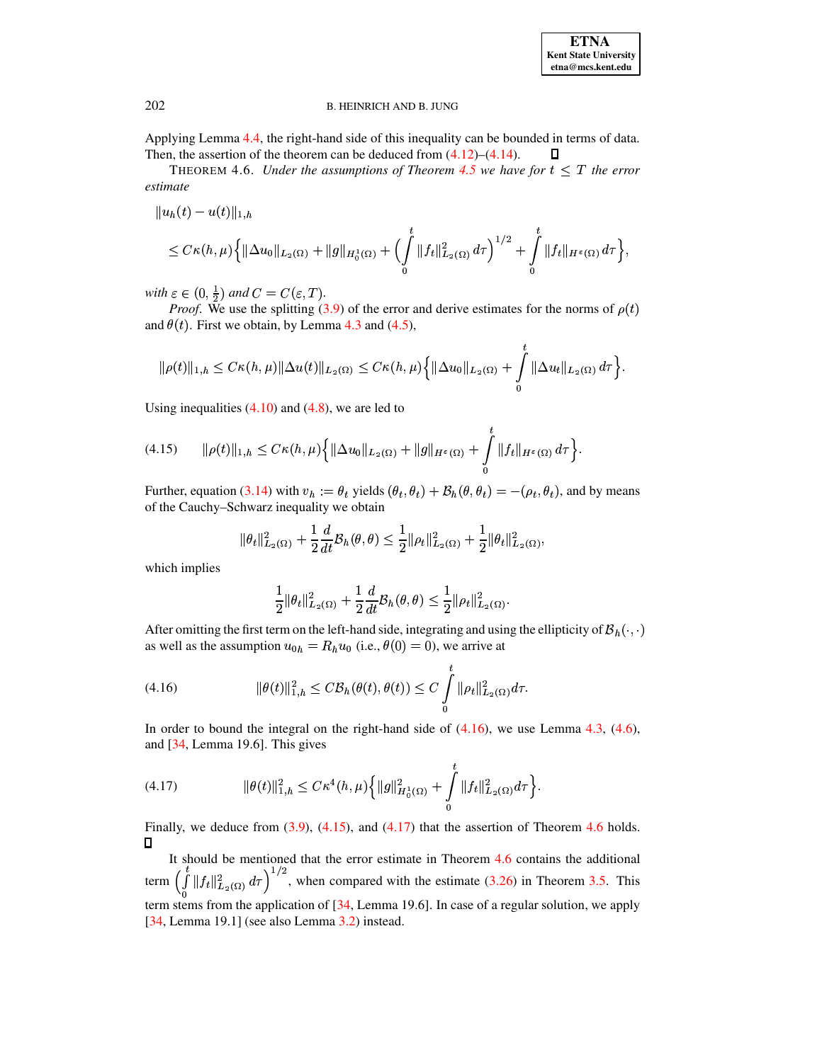

<span id="page-12-3"></span>Applying Lemma 4.4, the right-hand side of this inequality can be bounded in terms of data. Then, the assertion of the theorem can be deduced from  $(4.12)$ – $(4.14)$ .  $\Box$ 

THEOREM 4.6. Under the assumptions of Theorem 4.5 we have for  $t \leq T$  the error estimate

$$
||u_h(t) - u(t)||_{1,h}
$$
  
\n
$$
\leq C\kappa(h,\mu)\Big\{||\Delta u_0||_{L_2(\Omega)} + ||g||_{H_0^1(\Omega)} + \Big(\int_0^t ||f_t||_{L_2(\Omega)}^2 d\tau\Big)^{1/2} + \int_0^t ||f_t||_{H^{\varepsilon}(\Omega)} d\tau\Big\},\,
$$

with  $\varepsilon \in (0, \frac{1}{2})$  and  $C = C(\varepsilon, T)$ .

*Proof.* We use the splitting (3.9) of the error and derive estimates for the norms of  $\rho(t)$ and  $\theta(t)$ . First we obtain, by Lemma 4.3 and (4.5),

$$
\|\rho(t)\|_{1,h} \leq C\kappa(h,\mu)\|\Delta u(t)\|_{L_2(\Omega)} \leq C\kappa(h,\mu)\left\{\|\Delta u_0\|_{L_2(\Omega)} + \int\limits_0^t \|\Delta u_t\|_{L_2(\Omega)} d\tau\right\}.
$$

Using inequalities  $(4.10)$  and  $(4.8)$ , we are led to

<span id="page-12-1"></span>
$$
(4.15) \qquad \|\rho(t)\|_{1,h} \leq C\kappa(h,\mu)\left\{\|\Delta u_0\|_{L_2(\Omega)} + \|g\|_{H^{\varepsilon}(\Omega)} + \int\limits_0^t \|f_t\|_{H^{\varepsilon}(\Omega)}\,d\tau\right\}
$$

Further, equation (3.14) with  $v_h := \theta_t$  yields  $(\theta_t, \theta_t) + \mathcal{B}_h(\theta, \theta_t) = -(\rho_t, \theta_t)$ , and by means of the Cauchy-Schwarz inequality we obtain

$$
\|\theta_t\|_{L_2(\Omega)}^2 + \frac{1}{2}\frac{d}{dt}\mathcal{B}_h(\theta,\theta) \leq \frac{1}{2}\|\rho_t\|_{L_2(\Omega)}^2 + \frac{1}{2}\|\theta_t\|_{L_2(\Omega)}^2,
$$

which implies

<span id="page-12-0"></span>
$$
\frac{1}{2} \|\theta_t\|_{L_2(\Omega)}^2 + \frac{1}{2} \frac{d}{dt} \mathcal{B}_h(\theta, \theta) \leq \frac{1}{2} \|\rho_t\|_{L_2(\Omega)}^2.
$$

After omitting the first term on the left-hand side, integrating and using the ellipticity of  $B_h(\cdot, \cdot)$ as well as the assumption  $u_{0h} = R_h u_0$  (i.e.,  $\theta(0) = 0$ ), we arrive at

(4.16) 
$$
\|\theta(t)\|_{1,h}^2 \leq C \mathcal{B}_h(\theta(t), \theta(t)) \leq C \int_0^t \|\rho_t\|_{L_2(\Omega)}^2 d\tau.
$$

<span id="page-12-2"></span>In order to bound the integral on the right-hand side of  $(4.16)$ , we use Lemma 4.3,  $(4.6)$ , and  $[34,$  Lemma 19.6]. This gives

(4.17) 
$$
\|\theta(t)\|_{1,h}^2 \leq C\kappa^4(h,\mu)\left\{\|g\|_{H_0^1(\Omega)}^2+\int\limits_0^t\|f_t\|_{L_2(\Omega)}^2d\tau\right\}.
$$

Finally, we deduce from  $(3.9)$ ,  $(4.15)$ , and  $(4.17)$  that the assertion of Theorem 4.6 holds.  $\Box$ 

It should be mentioned that the error estimate in Theorem 4.6 contains the additional term  $\left(\int_0^t \|f_t\|_{L_2(\Omega)}^2 d\tau\right)^{1/2}$ , when compared with the estimate (3.26) in Theorem 3.5. This term stems from the application of  $[34,$  Lemma 19.6]. In case of a regular solution, we apply [ $34$ , Lemma 19.1] (see also Lemma  $3.2$ ) instead.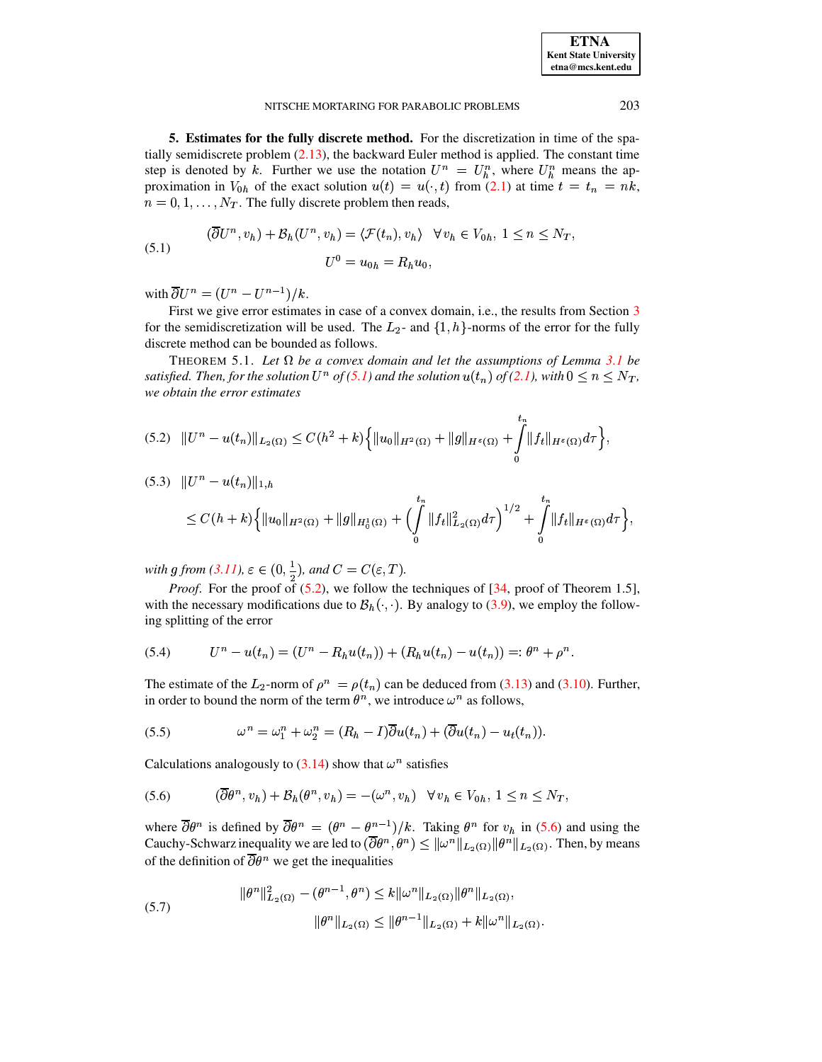**ETNA Kent State University etna@mcs.kent.edu**

#### NITSCHE MORTARING FOR PARABOLIC PROBLEMS 203

<span id="page-13-0"></span>**5. Estimates for the fully discrete method.** For the discretization in time of the spatially semidiscrete problem [\(2.13\)](#page-4-6), the backward Euler method is applied. The constant time step is denoted by k. Further we use the notation  $U^n = U_h^n$ , where  $U_h^n$  means the approximation in  $V_{0h}$  of the exact solution  $u(t) = u(\cdot, t)$  from [\(2.1\)](#page-1-1) at time  $t = t_n = nk$ ,  $n = 0, 1, \dots, N_T$ . The fully discrete problem then reads,

<span id="page-13-1"></span>(5.1) 
$$
(\overline{\partial}U^n, v_h) + \mathcal{B}_h(U^n, v_h) = \langle \mathcal{F}(t_n), v_h \rangle \quad \forall v_h \in V_{0h}, 1 \le n \le N_T,
$$

$$
U^0 = u_{0h} = R_h u_0,
$$

with  $\partial U^n = (U^n - U^{n-1})/k$ .

First we give error estimates in case of a convex domain, i.e., the results from Section [3](#page-5-9) for the semidiscretization will be used. The  $L_2$ - and  $\{1, h\}$ -norms of the error for the fully discrete method can be bounded as follows.

<span id="page-13-8"></span>THEOREM 5.1. Let  $\Omega$  be a convex domain and let the assumptions of Lemma [3.1](#page-5-6) be  $s$ *atisfied. Then, for the solution*  $U^n$  *of* [\(5.1\)](#page-13-1) and the solution  $u(t_n)$  of [\(2.1\)](#page-1-1), with  $0 \leq n \leq N_T$ , *we obtain the error estimates*

<span id="page-13-2"></span>
$$
(5.2) \quad \|U^n - u(t_n)\|_{L_2(\Omega)} \leq C(h^2 + k) \Big\{ \|u_0\|_{H^2(\Omega)} + \|g\|_{H^{\varepsilon}(\Omega)} + \int_{0}^{t_n} \|f_t\|_{H^{\varepsilon}(\Omega)} d\tau \Big\},
$$

<span id="page-13-6"></span>
$$
(5.3) \quad \|U^n - u(t_n)\|_{1,h} \leq C(h+k)\Big\{\|u_0\|_{H^2(\Omega)} + \|g\|_{H^1_0(\Omega)} + \Big(\int_0^{t_n} \|f_t\|_{L^2(\Omega)}^2 d\tau\Big)^{1/2} + \int_0^{t_n} \|f_t\|_{H^s(\Omega)} d\tau\Big\},\,
$$

with g from  $(3.11)$ ,  $\varepsilon \in (0, \frac{1}{2})$ , and  $C = C(\varepsilon, T)$ .

<span id="page-13-5"></span><span id="page-13-3"></span> $\mathcal{L}_{1}$  . The contract of the contract of the contract of the contract of the contract of the contract of the contract of the contract of the contract of the contract of the contract of the contract of the contract of

<span id="page-13-7"></span>*Proof.* For the proof of  $(5.2)$ , we follow the techniques of  $[34, \text{proof of Theorem 1.5}],$  $[34, \text{proof of Theorem 1.5}],$ with the necessary modifications due to  $\mathcal{B}_h(\cdot, \cdot)$ . By analogy to [\(3.9\)](#page-6-3), we employ the following splitting of the error

(5.4) 
$$
U^{n}-u(t_{n})=(U^{n}-R_{h}u(t_{n}))+ (R_{h}u(t_{n})-u(t_{n}))=:\theta^{n}+\rho^{n}.
$$

The estimate of the  $L_2$ -norm of  $\rho^n = \rho(t_n)$  can be deduced from [\(3.13\)](#page-7-0) and [\(3.10\)](#page-6-5). Further, in order to bound the norm of the term  $\theta^n$ , we introduce  $\omega^n$  as follows,

(5.5) 
$$
\omega^{n} = \omega_{1}^{n} + \omega_{2}^{n} = (R_{h} - I)\overline{\partial}u(t_{n}) + (\overline{\partial}u(t_{n}) - u_{t}(t_{n})).
$$

Calculations analogously to  $(3.14)$  show that  $\omega^n$  satisfies

$$
(5.6) \qquad (\overline{\partial}\theta^n, v_h) + \mathcal{B}_h(\theta^n, v_h) = -(\omega^n, v_h) \quad \forall \, v_h \in V_{0h}, \, 1 \le n \le N_T,
$$

where  $\partial \theta^n$  is defined by  $\partial \theta^n = (\theta^n - \theta^{n-1})/k$ . Taking  $\theta^n$  for  $v_h$  in [\(5.6\)](#page-13-3) and using the Cauchy-Schwarz inequality we are led to  $(\partial \theta^n, \theta^n) \leq ||\omega^n||_{L_2(\Omega)} ||\theta^n||_{L_2(\Omega)}$ . Then, by means of the definition of  $\partial \theta^n$  we get the inequalities

<span id="page-13-4"></span>
$$
||\theta^n||_{L_2(\Omega)}^2 - (\theta^{n-1}, \theta^n) \le k ||\omega^n||_{L_2(\Omega)} ||\theta^n||_{L_2(\Omega)},
$$
  

$$
||\theta^n||_{L_2(\Omega)} \le ||\theta^{n-1}||_{L_2(\Omega)} + k ||\omega^n||_{L_2(\Omega)}.
$$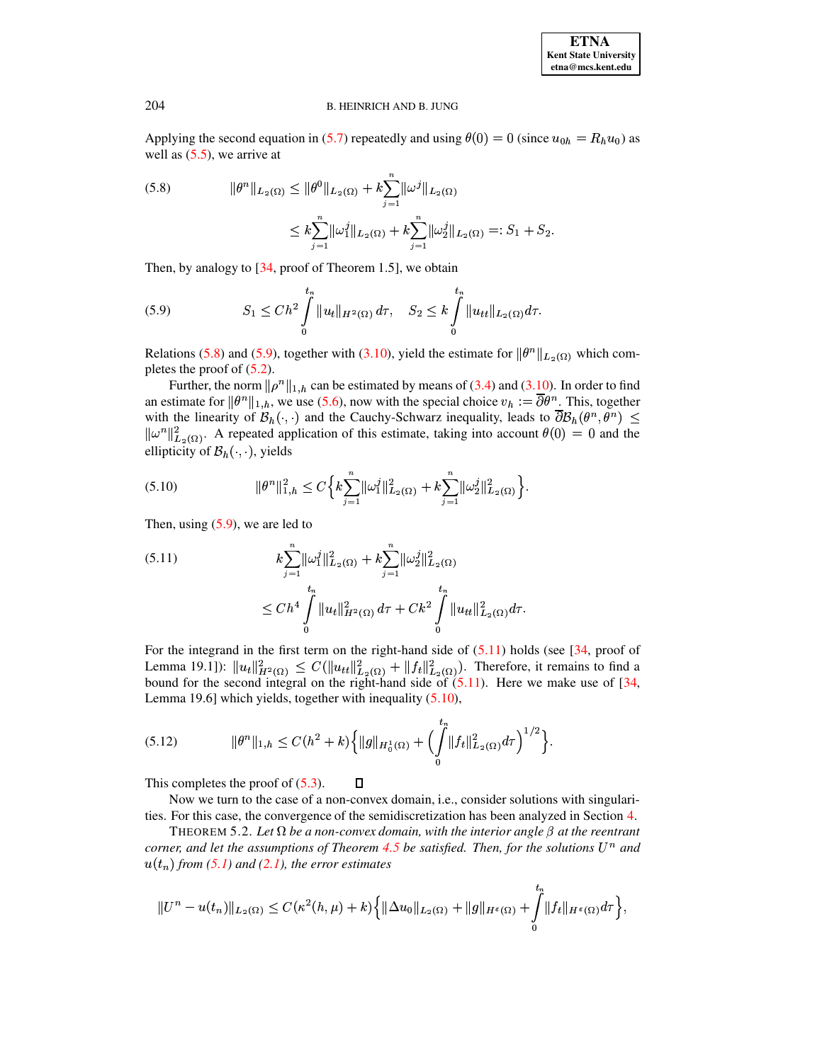Applying the second equation in [\(5.7\)](#page-13-4) repeatedly and using  $\theta(0) = 0$  (since  $u_{0h} = R_h u_0$ ) as well as  $(5.5)$ , we arrive at

<span id="page-14-0"></span>(5.8) 
$$
\|\theta^n\|_{L_2(\Omega)} \le \|\theta^0\|_{L_2(\Omega)} + k \sum_{j=1}^n \|\omega^j\|_{L_2(\Omega)} \le k \sum_{j=1}^n \|\omega_1^j\|_{L_2(\Omega)} + k \sum_{j=1}^n \|\omega_2^j\|_{L_2(\Omega)} =: S_1 + S_2.
$$

<span id="page-14-1"></span>Then, by analogy to [\[34,](#page-19-2) proof of Theorem 1.5], we obtain

(5.9) 
$$
S_1 \leq Ch^2 \int_0^{t_n} ||u_t||_{H^2(\Omega)} d\tau, \quad S_2 \leq k \int_0^{t_n} ||u_{tt}||_{L_2(\Omega)} d\tau.
$$

Relations [\(5.8\)](#page-14-0) and [\(5.9\)](#page-14-1), together with [\(3.10\)](#page-6-5), yield the estimate for  $\|\theta^n\|_{L_2(\Omega)}$  which completes the proof of [\(5.2\)](#page-13-2).

Further, the norm  $\|\rho^n\|_{1,h}$  can be estimated by means of [\(3.4\)](#page-5-4) and [\(3.10\)](#page-6-5). In order to find an estimate for  $\|\theta^n\|_{1,h}$ , we use [\(5.6\)](#page-13-3), now with the special choice  $v_h := \partial \theta^n$ . This, together with the linearity of  $\mathcal{B}_h(\cdot, \cdot)$  and the Cauchy-Schwarz inequality, leads to  $\partial \mathcal{B}_h(\theta^n, \theta^n) \leq$  $\|\omega^n\|_{L_2(\Omega)}^2$ . A repeated application of this estimate, taking into account  $\theta(0) = 0$  and the ellipticity of  $\mathcal{B}_h(\cdot, \cdot)$ , yields

<span id="page-14-3"></span>\ <sup>û</sup> \  b ¨ +Ð % { ý <sup>ÿ</sup> \ <sup>k</sup> \  } aØce { ý <sup>ÿ</sup> \" <sup>k</sup>  \  adc=e ' (5.10) <sup>v</sup>

Then, using  $(5.9)$ , we are led to

<span id="page-14-2"></span>
$$
(5.11) \t k \sum_{j=1}^{n} ||\omega_1^j||_{L_2(\Omega)}^2 + k \sum_{j=1}^{n} ||\omega_2^j||_{L_2(\Omega)}^2
$$
  

$$
\leq Ch^4 \int_0^t ||u_t||_{H^2(\Omega)}^2 d\tau + Ck^2 \int_0^t ||u_{tt}||_{L_2(\Omega)}^2 d\tau.
$$

For the integrand in the first term on the right-hand side of  $(5.11)$  holds (see [\[34,](#page-19-2) proof of Lemma 19.1]):  $\| u_t \|_{H^2(\Omega)}^2 \leq C(\| u_{tt} \|_{L_2(\Omega)}^2 + \| f_t \|_{L_2(\Omega)}^2)$ . Therefore, it remains to find a bound for the second integral on the right-hand side of  $(5.11)$ . Here we make use of [\[34,](#page-19-2) Lemma 19.6] which yields, together with inequality [\(5.10\)](#page-14-3),

(5.12) 
$$
\|\theta^n\|_{1,h} \leq C(h^2 + k) \left\{ \|g\|_{H_0^1(\Omega)} + \left( \int_0^h \|f_t\|_{L_2(\Omega)}^2 d\tau \right)^{1/2} \right\}.
$$

 $\Box$ 

This completes the proof of  $(5.3)$ .

Now we turn to the case of a non-convex domain, i.e., consider solutions with singularities. For this case, the convergence of the semidiscretization has been analyzed in Section [4.](#page-9-0)

<span id="page-14-4"></span>THEOREM 5.2. Let  $\Omega$  be a non-convex domain, with the interior angle  $\beta$  at the reentrant *corner,* and let the assumptions of Theorem [4.5](#page-11-5) be satisfied. Then, for the solutions  $U^n$  and  $u(t_n)$  from [\(5.1\)](#page-13-1) and [\(2.1\)](#page-1-1), the error estimates

$$
||U^{n}-u(t_{n})||_{L_{2}(\Omega)} \leq C(\kappa^{2}(h,\mu)+k)\Big\{||\Delta u_{0}||_{L_{2}(\Omega)}+||g||_{H^{\varepsilon}(\Omega)}+\int_{0}^{t_{n}}||f_{t}||_{H^{\varepsilon}(\Omega)}d\tau\Big\},\,
$$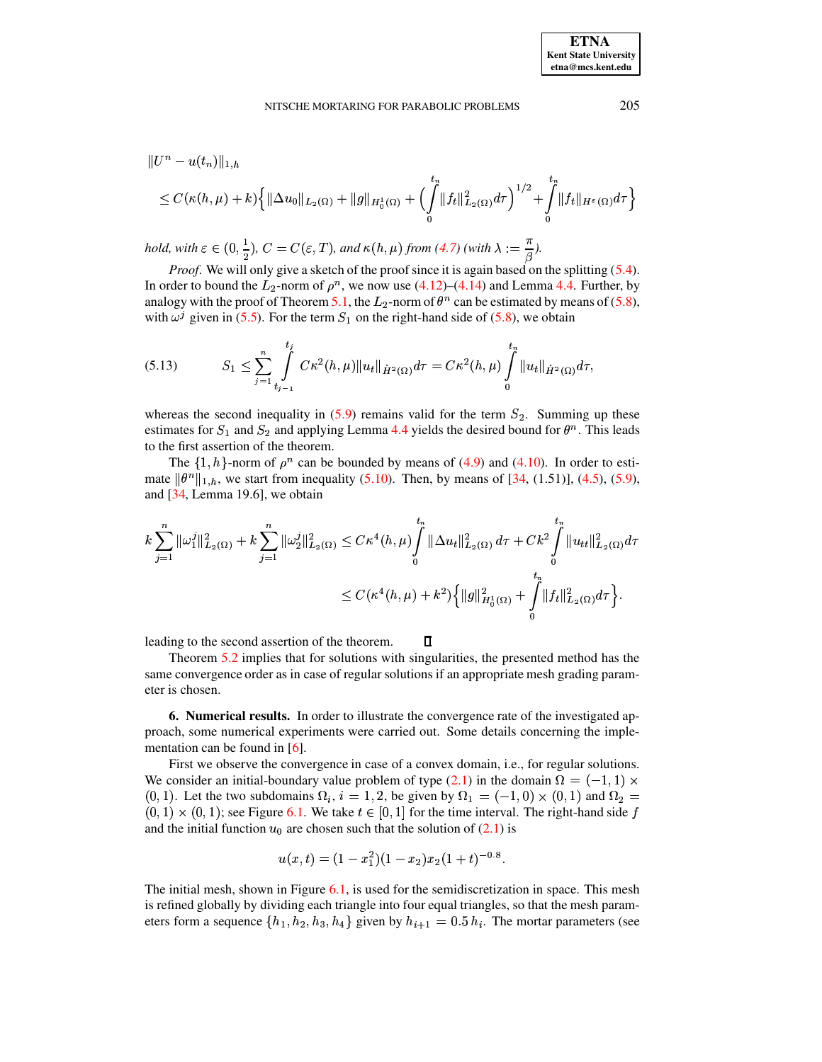$$
||U^{n} - u(t_{n})||_{1,h}
$$
  
\n
$$
\leq C(\kappa(h,\mu) + k) \left\{ ||\Delta u_{0}||_{L_{2}(\Omega)} + ||g||_{H_{0}^{1}(\Omega)} + \left(\int_{0}^{t_{n}} ||f_{t}||_{L_{2}(\Omega)}^{2} d\tau\right)^{1/2} + \int_{0}^{t_{n}} ||f_{t}||_{H^{\varepsilon}(\Omega)} d\tau \right\}
$$

hold, with  $\varepsilon \in (0, \frac{1}{2})$ ,  $C = C(\varepsilon, T)$ , and  $\kappa(h, \mu)$  from [\(4.7\)](#page-10-5) (with  $\lambda := \frac{\kappa}{\beta}$ ).

*Proof.* We will only give a sketch of the proof since it is again based on the splitting [\(5.4\)](#page-13-7). In order to bound the  $L_2$ -norm of  $\rho^n$ , we now use [\(4.12\)](#page-11-1)–[\(4.14\)](#page-11-4) and Lemma [4.4.](#page-11-3) Further, by analogy with the proof of Theorem [5.1,](#page-13-8) the  $L_2$ -norm of  $\theta^n$  can be estimated by means of [\(5.8\)](#page-14-0), with  $\omega^j$  given in [\(5.5\)](#page-13-5). For the term  $S_1$  on the right-hand side of [\(5.8\)](#page-14-0), we obtain

$$
(5.13) \tS_1 \leq \sum_{j=1}^n \int_{t_{j-1}}^{t_j} C\kappa^2(h,\mu) \|u_t\|_{\dot{H}^2(\Omega)} d\tau = C\kappa^2(h,\mu) \int_0^{t_n} \|u_t\|_{\dot{H}^2(\Omega)} d\tau,
$$

whereas the second inequality in  $(5.9)$  remains valid for the term  $S_2$ . Summing up these estimates for  $S_1$  and  $S_2$  and applying Lemma [4.4](#page-11-3) yields the desired bound for  $\theta^n$ . This leads to the first assertion of the theorem.

The  $\{1, h\}$ -norm of  $\rho^n$  can be bounded by means of [\(4.9\)](#page-11-2) and [\(4.10\)](#page-11-6). In order to estimate  $\|\theta^n\|_{1,h}$ , we start from inequality [\(5.10\)](#page-14-3). Then, by means of [\[34,](#page-19-2) (1.51)], [\(4.5\)](#page-10-3), [\(5.9\)](#page-14-1), and [\[34,](#page-19-2) Lemma 19.6], we obtain

$$
k\sum_{j=1}^{n} \|\omega_{1}^{j}\|_{L_{2}(\Omega)}^{2} + k\sum_{j=1}^{n} \|\omega_{2}^{j}\|_{L_{2}(\Omega)}^{2} \leq C\kappa^{4}(h,\mu) \int_{0}^{t_{n}} \|\Delta u_{t}\|_{L_{2}(\Omega)}^{2} d\tau + Ck^{2} \int_{0}^{t_{n}} \|u_{tt}\|_{L_{2}(\Omega)}^{2} d\tau
$$
  

$$
\leq C(\kappa^{4}(h,\mu) + k^{2}) \left\{ \|g\|_{H_{0}^{1}(\Omega)}^{2} + \int_{0}^{t_{n}} \|f_{t}\|_{L_{2}(\Omega)}^{2} d\tau \right\}.
$$

leading to the second assertion of the theorem.

Theorem [5.2](#page-14-4) implies that for solutions with singularities, the presented method has the same convergence order as in case of regular solutions if an appropriate mesh grading parameter is chosen.

 $\Box$ 

<span id="page-15-0"></span>**6. Numerical results.** In order to illustrate the convergence rate of the investigated approach, some numerical experiments were carried out. Some details concerning the implementation can be found in  $[6]$ .

First we observe the convergence in case of a convex domain, i.e., for regular solutions. We consider an initial-boundary value problem of type [\(2.1\)](#page-1-1) in the domain  $\Omega = (-1, 1) \times$  $(0, 1)$ . Let the two subdomains  $\Omega_i$ ,  $i = 1, 2$ , be given by  $\Omega_1 = (-1, 0) \times (0, 1)$  and  $\Omega_2 =$  $(0,1) \times (0,1)$ ; see Figure [6.1.](#page-16-0) We take  $t \in [0,1]$  for the time interval. The right-hand side f and the initial function  $u_0$  are chosen such that the solution of  $(2.1)$  is

$$
u(x,t)=(1-x_1^2)(1-x_2)x_2(1+t)^{-0.8}.
$$

The initial mesh, shown in Figure [6.1,](#page-16-0) is used for the semidiscretization in space. This mesh is refined globally by dividing each triangle into four equal triangles, so that the mesh parameters form a sequence  $\{h_1, h_2, h_3, h_4\}$  given by  $h_{i+1} = 0.5 h_i$ . The mortar parameters (see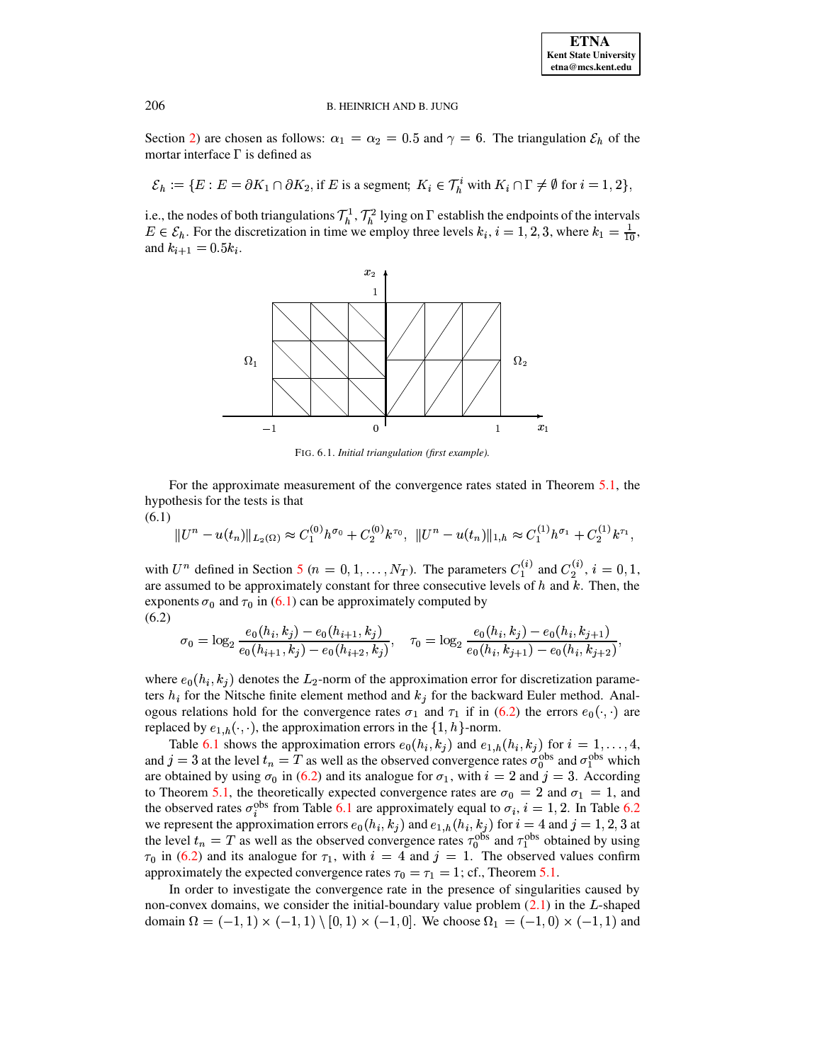Section 2) are chosen as follows:  $\alpha_1 = \alpha_2 = 0.5$  and  $\gamma = 6$ . The triangulation  $\mathcal{E}_h$  of the mortar interface  $\Gamma$  is defined as

 $\mathcal{E}_h := \{ E : E = \partial K_1 \cap \partial K_2, \text{if } E \text{ is a segment}; K_i \in \mathcal{T}_h^i \text{ with } K_i \cap \Gamma \neq \emptyset \text{ for } i = 1, 2 \},\$ 

i.e., the nodes of both triangulations  $\mathcal{T}_h^1$ ,  $\mathcal{T}_h^2$  lying on  $\Gamma$  establish the endpoints of the intervals  $E \in \mathcal{E}_h$ . For the discretization in time we employ three levels  $k_i$ ,  $i = 1, 2, 3$ , where  $k_1 = \frac{1}{10}$ , and  $k_{i+1} = 0.5k_i$ .



<span id="page-16-2"></span><span id="page-16-0"></span>FIG. 6.1. Initial triangulation (first example).

For the approximate measurement of the convergence rates stated in Theorem 5.1, the hypothesis for the tests is that  $(6.1)$ 

<span id="page-16-1"></span>
$$
||U^{n} - u(t_{n})||_{L_{2}(\Omega)} \approx C_{1}^{(0)}h^{\sigma_{0}} + C_{2}^{(0)}k^{\tau_{0}}, \ ||U^{n} - u(t_{n})||_{1,h} \approx C_{1}^{(1)}h^{\sigma_{1}} + C_{2}^{(1)}k^{\tau_{1}}
$$

with  $U^n$  defined in Section 5 ( $n = 0, 1, ..., N_T$ ). The parameters  $C_1^{(i)}$  and  $C_2^{(i)}$ ,  $i = 0, 1$ , are assumed to be approximately constant for three consecutive levels of  $h$  and  $k$ . Then, the exponents  $\sigma_0$  and  $\tau_0$  in (6.1) can be approximately computed by  $(6.2)$ 

$$
\sigma_0 = \log_2 \frac{e_0(h_i, k_j) - e_0(h_{i+1}, k_j)}{e_0(h_{i+1}, k_j) - e_0(h_{i+2}, k_j)}, \quad \tau_0 = \log_2 \frac{e_0(h_i, k_j) - e_0(h_i, k_{j+1})}{e_0(h_i, k_{j+1}) - e_0(h_i, k_{j+2})},
$$

where  $e_0(h_i, k_j)$  denotes the  $L_2$ -norm of the approximation error for discretization parameters  $h_i$  for the Nitsche finite element method and  $k_j$  for the backward Euler method. Analogous relations hold for the convergence rates  $\sigma_1$  and  $\tau_1$  if in (6.2) the errors  $e_0(\cdot, \cdot)$  are replaced by  $e_{1,h}(\cdot, \cdot)$ , the approximation errors in the  $\{1, h\}$ -norm.

Table 6.1 shows the approximation errors  $e_0(h_i, k_j)$  and  $e_{1,h}(h_i, k_j)$  for  $i = 1, ..., 4$ , and  $j = 3$  at the level  $t_n = T$  as well as the observed convergence rates  $\sigma_0^{\text{obs}}$  and  $\sigma_1^{\text{obs}}$  which are obtained by using  $\sigma_0$  in (6.2) and its analogue for  $\sigma_1$ , with  $i = 2$  and  $j = 3$ . According to Theorem 5.1, the theoretically expected convergence rates are  $\sigma_0 = 2$  and  $\sigma_1 = 1$ , and the observed rates  $\sigma_i^{obs}$  from Table 6.1 are approximately equal to  $\sigma_i$ ,  $i = 1, 2$ . In Table 6.2 we represent the approximation errors  $e_0(h_i, k_j)$  and  $e_{1,h}(h_i, k_j)$  for  $i = 4$  and  $j = 1, 2, 3$  at the level  $t_n = T$  as well as the observed convergence rates  $\tau_0^{obs}$  and  $\tau_1^{obs}$  obtained by using  $\tau_0$  in (6.2) and its analogue for  $\tau_1$ , with  $i = 4$  and  $j = 1$ . The observed values confirm approximately the expected convergence rates  $\tau_0 = \tau_1 = 1$ ; cf., Theorem 5.1.

In order to investigate the convergence rate in the presence of singularities caused by non-convex domains, we consider the initial-boundary value problem  $(2.1)$  in the L-shaped domain  $\Omega = (-1,1) \times (-1,1) \setminus [0,1) \times (-1,0]$ . We choose  $\Omega_1 = (-1,0) \times (-1,1)$  and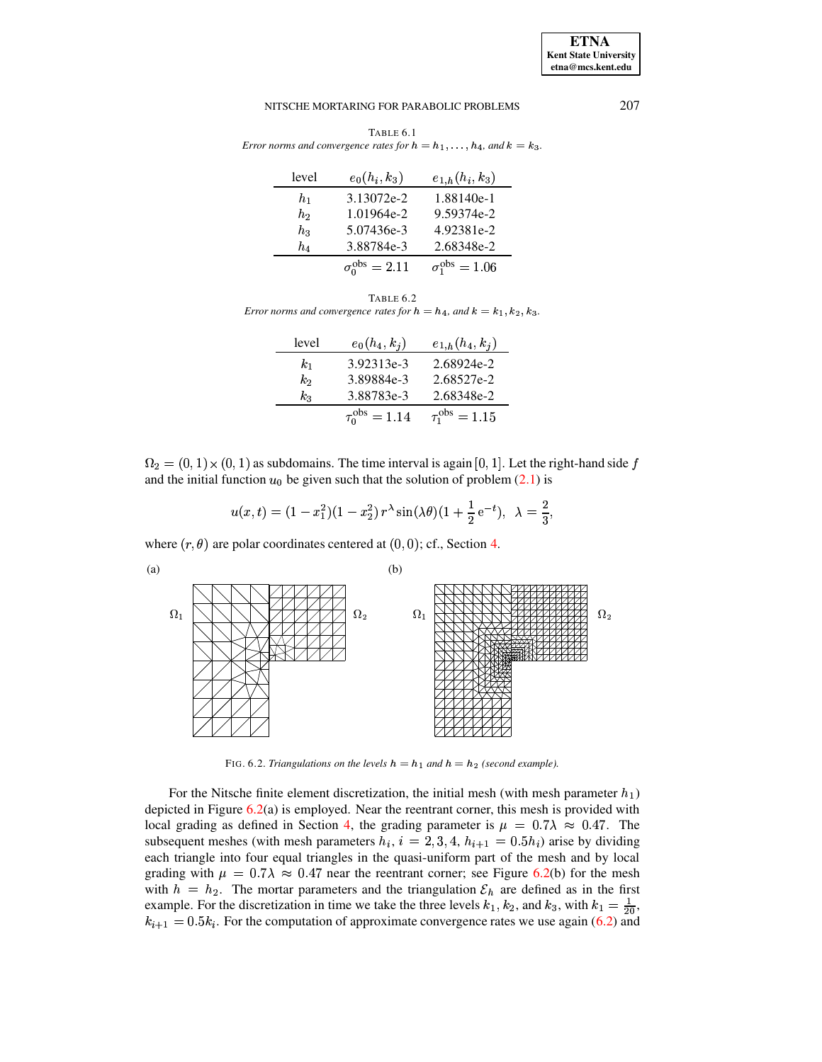<span id="page-17-0"></span>TABLE 6.1 *Error* norms and convergence rates for  $h = h_1, \ldots, h_4$ , and  $k = k_3$ .

| level | $e_0(h_i,k_3)$              | $e_{1,h}(h_i,k_3)$          |  |
|-------|-----------------------------|-----------------------------|--|
| $h_1$ | 3.13072e-2                  | 1.88140e-1                  |  |
| $h_2$ | 1.01964e-2                  | 9.59374e-2                  |  |
| hэ    | 5.07436e-3                  | 4.92381e-2                  |  |
| h4    | 3.88784e-3                  | 2.68348e-2                  |  |
|       | $\sigma_0^{\rm obs} = 2.11$ | $\sigma_1^{\rm obs} = 1.06$ |  |

<span id="page-17-1"></span>TABLE 6.2 *Error norms* and *convergence rates for*  $h = h_4$ *,* and  $k = k_1, k_2, k_3$ .

| level   | $e_0(h_4,k_i)$            | $e_{1,h}(h_4,k_j)$          |  |
|---------|---------------------------|-----------------------------|--|
| $k_1$   | 3.92313e-3                | 2.68924e-2                  |  |
| $k_2$   | 3.89884e-3                | 2.68527e-2                  |  |
| $k_{3}$ | 3.88783e-3                | 2.68348e-2                  |  |
|         | $\tau_0^{\rm obs} = 1.14$ | $\tau_{1}^{\rm obs} = 1.15$ |  |

 $\Omega_2 = (0, 1) \times (0, 1)$  as subdomains. The time interval is again [0, 1]. Let the right-hand side f and the initial function  $u_0$  be given such that the solution of problem  $(2.1)$  is

$$
u(x,t) = (1 - x_1^2)(1 - x_2^2) r^{\lambda} \sin(\lambda \theta)(1 + \frac{1}{2}e^{-t}), \lambda = \frac{2}{3},
$$

where  $(r, \theta)$  are polar coordinates centered at  $(0, 0)$ ; cf., Section [4.](#page-9-0)



FIG. 6.2. *Triangulations on the levels*  $h = h_1$  *and*  $h = h_2$  (second example).

<span id="page-17-2"></span>For the Nitsche finite element discretization, the initial mesh (with mesh parameter  $h_1$ ) depicted in Figure  $6.2(a)$  $6.2(a)$  is employed. Near the reentrant corner, this mesh is provided with local grading as defined in Section [4,](#page-9-0) the grading parameter is  $\mu = 0.7\lambda \approx 0.47$ . The subsequent meshes (with mesh parameters  $h_i$ ,  $i = 2, 3, 4$ ,  $h_{i+1} = 0.5h_i$ ) arise by dividing each triangle into four equal triangles in the quasi-uniform part of the mesh and by local grading with  $\mu = 0.7\lambda \approx 0.47$  near the reentrant corner; see Figure [6.2\(](#page-17-2)b) for the mesh with  $h = h_2$ . The mortar parameters and the triangulation  $\mathcal{E}_h$  are defined as in the first example. For the discretization in time we take the three levels  $k_1, k_2$ , and  $k_3$ , with  $k_1 = \frac{1}{20}$ ,  $k_{i+1} = 0.5k_i$ . For the computation of approximate convergence rates we use again [\(6.2\)](#page-16-2) and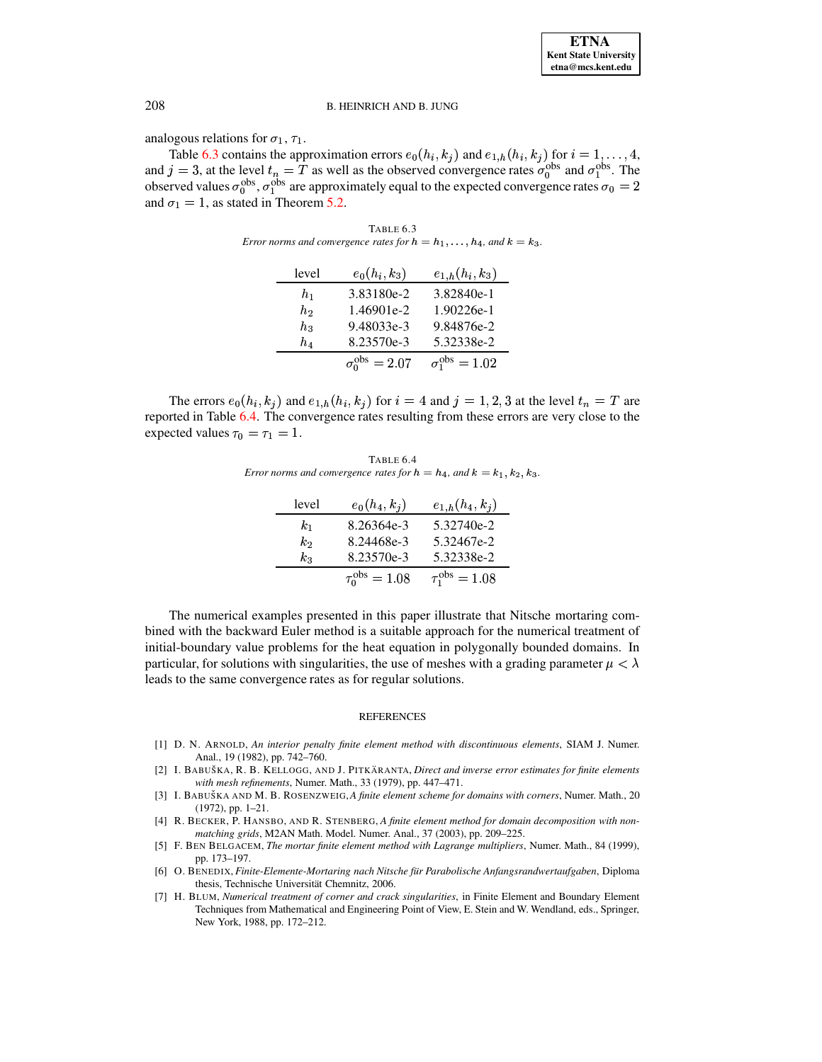analogous relations for  $\sigma_1$ ,  $\tau_1$ .

<span id="page-18-7"></span>Table 6.3 contains the approximation errors  $e_0(h_i, k_j)$  and  $e_{1,h}(h_i, k_j)$  for  $i = 1, ..., 4$ , and  $j = 3$ , at the level  $t_n = T$  as well as the observed convergence rates  $\sigma_0^{obs}$  and  $\sigma_1^{obs}$ . The observed values  $\sigma_0^{obs}$ ,  $\sigma_1^{obs}$  are approximately equal to the expected convergence rates  $\sigma_0 = 2$ and  $\sigma_1 = 1$ , as stated in Theorem 5.2.

TABLE 6.3 Error norms and convergence rates for  $h = h_1, \ldots, h_4$ , and  $k = k_3$ .

| level            | $e_0(h_i,k_3)$              | $e_{1,h}(h_i,k_3)$          |
|------------------|-----------------------------|-----------------------------|
| h1               | 3.83180e-2                  | 3.82840e-1                  |
| $\mathfrak{h}_2$ | 1.46901e-2                  | 1.90226e-1                  |
| $h_{3}$          | 9.48033e-3                  | 9.84876e-2                  |
| $\mathfrak{h}_4$ | 8.23570e-3                  | 5.32338e-2                  |
|                  | $\sigma_0^{\rm obs} = 2.07$ | $\sigma_1^{\rm obs} = 1.02$ |

<span id="page-18-8"></span>The errors  $e_0(h_i, k_j)$  and  $e_{1,h}(h_i, k_j)$  for  $i = 4$  and  $j = 1, 2, 3$  at the level  $t_n = T$  are reported in Table 6.4. The convergence rates resulting from these errors are very close to the expected values  $\tau_0 = \tau_1 = 1$ .

TABLE 6.4 Error norms and convergence rates for  $h = h_4$ , and  $k = k_1, k_2, k_3$ .

| level   | $e_0(h_4,k_j)$            | $e_{1,h}(h_4,k_1)$        |
|---------|---------------------------|---------------------------|
| $k_{1}$ | 8.26364e-3                | 5.32740e-2                |
| k2      | 8.24468e-3                | 5.32467e-2                |
| $k_3$   | 8.23570e-3                | 5.32338e-2                |
|         | $\tau_0^{\rm obs} = 1.08$ | $\tau_1^{\rm obs} = 1.08$ |

The numerical examples presented in this paper illustrate that Nitsche mortaring combined with the backward Euler method is a suitable approach for the numerical treatment of initial-boundary value problems for the heat equation in polygonally bounded domains. In particular, for solutions with singularities, the use of meshes with a grading parameter  $\mu < \lambda$ leads to the same convergence rates as for regular solutions.

#### **REFERENCES**

- <span id="page-18-2"></span>[1] D. N. ARNOLD, An interior penalty finite element method with discontinuous elements, SIAM J. Numer. Anal., 19 (1982), pp. 742-760.
- <span id="page-18-4"></span>[2] I. BABUŠKA, R. B. KELLOGG, AND J. PITKÄRANTA, Direct and inverse error estimates for finite elements with mesh refinements, Numer. Math., 33 (1979), pp. 447-471.
- <span id="page-18-5"></span>[3] I. BABUŠKA AND M. B. ROSENZWEIG, A finite element scheme for domains with corners, Numer. Math., 20  $(1972)$ , pp.  $1-21$ .
- <span id="page-18-0"></span>[4] R. BECKER, P. HANSBO, AND R. STENBERG, A finite element method for domain decomposition with nonmatching grids, M2AN Math. Model. Numer. Anal., 37 (2003), pp. 209-225.
- <span id="page-18-1"></span>[5] F. BEN BELGACEM, The mortar finite element method with Lagrange multipliers, Numer. Math., 84 (1999), pp. 173-197.
- <span id="page-18-3"></span>[6] O. BENEDIX, Finite-Elemente-Mortaring nach Nitsche für Parabolische Anfangsrandwertaufgaben, Diploma thesis, Technische Universität Chemnitz, 2006.
- <span id="page-18-6"></span>[7] H. BLUM, Numerical treatment of corner and crack singularities, in Finite Element and Boundary Element Techniques from Mathematical and Engineering Point of View, E. Stein and W. Wendland, eds., Springer, New York, 1988, pp. 172-212.